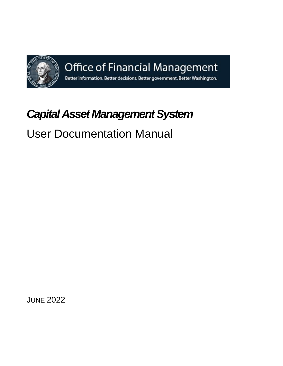

Office of Financial Management

Better information. Better decisions. Better government. Better Washington.

# *Capital Asset Management System*

# User Documentation Manual

JUNE 2022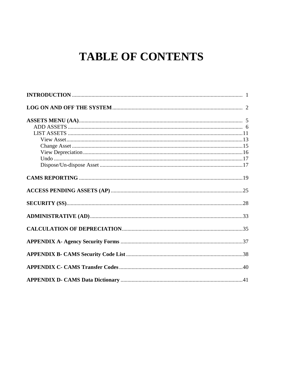# **TABLE OF CONTENTS**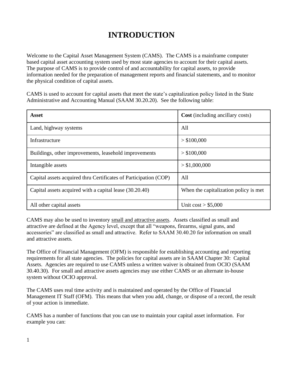# **INTRODUCTION**

Welcome to the Capital Asset Management System (CAMS). The CAMS is a mainframe computer based capital asset accounting system used by most state agencies to account for their capital assets. The purpose of CAMS is to provide control of and accountability for capital assets, to provide information needed for the preparation of management reports and financial statements, and to monitor the physical condition of capital assets.

CAMS is used to account for capital assets that meet the state's capitalization policy listed in the State Administrative and Accounting Manual (SAAM 30.20.20). See the following table:

| <b>Asset</b>                                                     | <b>Cost</b> (including ancillary costs) |
|------------------------------------------------------------------|-----------------------------------------|
| Land, highway systems                                            | All                                     |
| Infrastructure                                                   | > \$100,000                             |
| Buildings, other improvements, leasehold improvements            | > \$100,000                             |
| Intangible assets                                                | > \$1,000,000                           |
| Capital assets acquired thru Certificates of Participation (COP) | All                                     |
| Capital assets acquired with a capital lease (30.20.40)          | When the capitalization policy is met.  |
| All other capital assets                                         | Unit $cost > $5,000$                    |

CAMS may also be used to inventory small and attractive assets. Assets classified as small and attractive are defined at the Agency level, except that all "weapons, firearms, signal guns, and accessories" are classified as small and attractive. Refer to SAAM 30.40.20 for information on small and attractive assets.

The Office of Financial Management (OFM) is responsible for establishing accounting and reporting requirements for all state agencies. The policies for capital assets are in SAAM Chapter 30: Capital Assets. Agencies are required to use CAMS unless a written waiver is obtained from OCIO (SAAM 30.40.30). For small and attractive assets agencies may use either CAMS or an alternate in-house system without OCIO approval.

The CAMS uses real time activity and is maintained and operated by the Office of Financial Management IT Staff (OFM). This means that when you add, change, or dispose of a record, the result of your action is immediate.

CAMS has a number of functions that you can use to maintain your capital asset information. For example you can: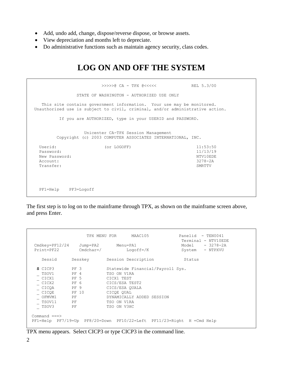- Add, undo add, change, dispose/reverse dispose, or browse assets.
- View depreciation and months left to depreciate.
- Do administrative functions such as maintain agency security, class codes.

# **LOG ON AND OFF THE SYSTEM**

```
 >>>>>@ CA - TPX @<<<<< REL 5.3/00
            STATE OF WASHINGTON - AUTHORIZED USE ONLY
   This site contains government information. Your use may be monitored.
Unauthorized use is subject to civil, criminal, and/or administrative action.
       If you are AUTHORIZED, type in your USERID and PASSWORD.
              Unicenter CA-TPX Session Management
       Copyright (c) 2003 COMPUTER ASSOCIATES INTERNATIONAL, INC.
 Userid: (or LOGOFF) 11:53:50
  Password: 11/13/19
 New Password: N NTV10EDE
 Account: 3278-2A
  Transfer: SMRTTV
  PF1=Help PF3=Logoff
```
The first step is to log on to the mainframe through TPX, as shown on the mainframe screen above, and press Enter.

| $Cmdkey=PF12/24$ | Jump=PA2   | Menu=PA1                         | Terminal - NTV10EDE<br>$-3278-2A$<br>Model |
|------------------|------------|----------------------------------|--------------------------------------------|
| $Print = PF22$   | $Cmdchar=$ | $Logoff=/K$                      | - NTPXVU<br>System                         |
| Sessid           | Sesskey    | Session Description              | Status                                     |
| S CICP3          | PF 3       | Statewide Financial/Payroll Sys. |                                            |
| TSOV1            | $PF$ 4     | TSO ON V1RA                      |                                            |
| CICX1            | PF 5       | CICX1 TEST                       |                                            |
| CICX2            | PF 6       | CICS/ESA TEST2                   |                                            |
| CICOA            | PF 9       | CICS/ESA OUALA                   |                                            |
| CICOE            | PF 10      | CICOE OUAL                       |                                            |
| OFMVM1           | PF         | DYNAMICALLY ADDED SESSION        |                                            |
| TSOV11           | PF         | TSO ON V1RA                      |                                            |
| TSOV3            | PF         | TSO ON V3HC                      |                                            |

TPX menu appears. Select CICP3 or type CICP3 in the command line.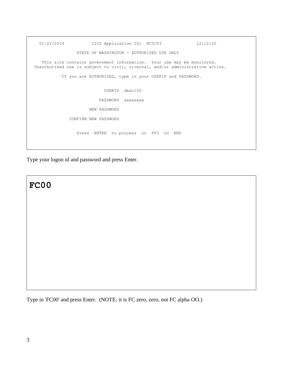```
 01/22/2014 CICS Application ID: NCICP3 12:12:20
                 STATE OF WASHINGTON - AUTHORIZED USE ONLY
    This site contains government information. Your use may be monitored.
 Unauthorized use is subject to civil, criminal, and/or administrative action.
           If you are AUTHORIZED, type in your USERID and PASSWORD.
                           USERID dbac105
                         PASSWORD xxxxxxxx
                      NEW PASSWORD
              CONFIRM NEW PASSWORD
                 Press ENTER to process or PF3 to END
```
Type your logon id and password and press Enter.



Type in 'FC00' and press Enter. (NOTE: it is FC zero, zero, not FC alpha OO.)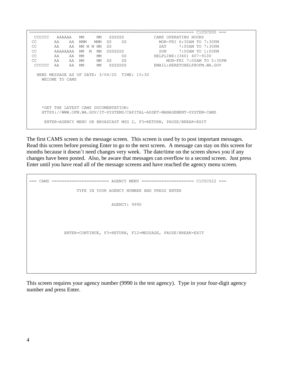================================================================== C105C000 === CCCCCC AAAAAA MM MM SSSSSS CAMS OPERATING HOURS CC AA AA MMM MMM SS SS MON-FRI 6:30AM TO 7:30PM CC AA AA MM M MM SS SAT 7:00AM TO 7:30PM CC AAAAAAAA MM M MM SSSSSSS SOUN 7:00AM TO 1:00PM CC AA AA MM MM SS HELPLINE:(360) 407-9100 CC AA AA MM MM SS SS MON-FRI 7:00AM TO 5:30PM CCCCCC AA AA MM MM SSSSSSS EMAIL:HERETOHELP@OFM.WA.GOV NEWS MESSAGE AS OF DATE: 3/04/20 TIME: 15:30 WECOME TO CAMS \*GET THE LATEST CAMS DOCUMENTATION: HTTPS://WWW.OFM.WA.GOV/IT-SYSTEMS/CAPITAL-ASSET-MANAGEMENT-SYSTEM-CAMS ENTER=AGENCY MENU OR BROADCAST MSG 2, F3=RETURN, PAUSE/BREAK=EXIT

The first CAMS screen is the message screen. This screen is used by to post important messages. Read this screen before pressing Enter to go to the next screen. A message can stay on this screen for months because it doesn't need changes very week. The date/time on the screen shows you if any changes have been posted. Also, be aware that messages can overflow to a second screen. Just press Enter until you have read all of the message screens and have reached the agency menu screen.

=== CAMS ======================= AGENCY MENU ===================== C105C022 === TYPE IN YOUR AGENCY NUMBER AND PRESS ENTER AGENCY: 9990 ENTER=CONTINUE, F3=RETURN, F12=MESSAGE, PAUSE/BREAK=EXIT

This screen requires your agency number (9990 is the test agency). Type in your four-digit agency number and press Enter.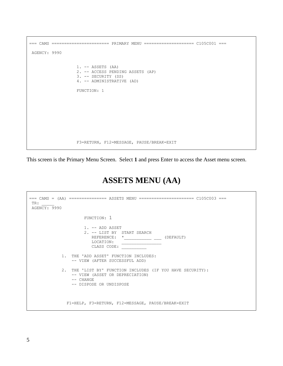```
=== CAMS ======================= PRIMARY MENU ==================== C105C001 ===
AGENCY: 9990
                    1. -- ASSETS (AA)
                    2. -- ACCESS PENDING ASSETS (AP)
                    3. -- SECURITY (SS)
                    4. -- ADMINISTRATIVE (AD)
                    FUNCTION: 1
                    F3=RETURN, F12=MESSAGE, PAUSE/BREAK=EXIT
```
This screen is the Primary Menu Screen. Select **1** and press Enter to access the Asset menu screen.

# **ASSETS MENU (AA)**

| TR:<br>AGENCY: 9990 | === CAMS = (AA) =============== ASSETS MENU ======================            C105C003 ===                                           |
|---------------------|--------------------------------------------------------------------------------------------------------------------------------------|
|                     | FUNCTION: 1                                                                                                                          |
|                     | $1. - -$ ADD ASSET<br>2. -- LIST BY START SEARCH<br>REFERENCE: *<br>(DEFAULT)<br>LOCATION:<br>CLASS CODE:                            |
|                     | 1. THE 'ADD ASSET' FUNCTION INCLUDES:<br>-- VIEW (AFTER SUCCESSFUL ADD)                                                              |
| 2.                  | THE 'LIST BY' FUNCTION INCLUDES (IF YOU HAVE SECURITY):<br>-- VIEW (ASSET OR DEPRECIATION)<br>$--$ CHANGE<br>-- DISPOSE OR UNDISPOSE |
|                     | F1=HELP, F3=RETURN, F12=MESSAGE, PAUSE/BREAK=EXIT                                                                                    |

Г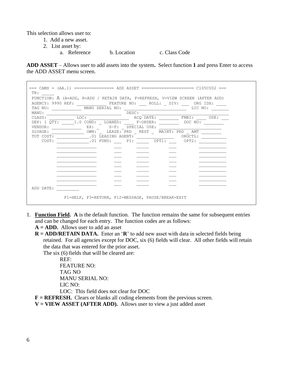This selection allows user to:

- 1. Add a new asset.
- 2. List asset by:
	- a. Reference b. Location c. Class Code

**ADD ASSET** – Allows user to add assets into the system**.** Select function **1** and press Enter to access the ADD ASSET menu screen.

| AGENCY: 9990 REF: FEATURE NO: ROLL: DIV: ORG IDX: | FUNCTION: A (A=ADD, R=ADD / RETAIN DATA, F=REFRESH, V=VIEW SCREEN (AFTER ADD) |                                     |           |  |         |            |
|---------------------------------------------------|-------------------------------------------------------------------------------|-------------------------------------|-----------|--|---------|------------|
| TAG NO: MANU SERIAL NO:                           |                                                                               |                                     |           |  | LIC NO: |            |
| MANU :                                            |                                                                               |                                     | DESC:     |  |         |            |
| CLASS:                                            | LOC:                                                                          |                                     | ACQ DATE: |  |         | FMBI: USE: |
| DEP: 1 OTY:                                       | 1.0 COND: LOANED: F-ORDER:                                                    |                                     |           |  | DOC NO: |            |
| VENDOR:                                           |                                                                               | EX: _ S-F: SPECIAL USE:             |           |  |         |            |
| SLVAGE:                                           |                                                                               | OWN: LEASE: PRD REST MAINT: PRD AMT |           |  |         |            |
| TOT COST:                                         |                                                                               | .01 LEASING AGENT:                  |           |  | ORGCTL: |            |
| COST:                                             |                                                                               | $.01$ FUND: $PI:$ OPT1:             |           |  | OPT2:   |            |
|                                                   |                                                                               |                                     |           |  |         |            |
|                                                   |                                                                               |                                     |           |  |         |            |
|                                                   |                                                                               |                                     |           |  |         |            |
|                                                   |                                                                               |                                     |           |  |         |            |
|                                                   |                                                                               |                                     |           |  |         |            |
|                                                   |                                                                               |                                     |           |  |         |            |
|                                                   |                                                                               |                                     |           |  |         |            |
|                                                   |                                                                               |                                     |           |  |         |            |
|                                                   |                                                                               |                                     |           |  |         |            |
|                                                   |                                                                               |                                     |           |  |         |            |
| ADD DATE:                                         |                                                                               |                                     |           |  |         |            |

- 1. **Function Field. A** is the default function. The function remains the same for subsequent entries and can be changed for each entry. The function codes are as follows:
	- **A = ADD.** Allows user to add an asset
	- **R = ADD/RETAIN DATA.** Enter an '**R**' to add new asset with data in selected fields being retained. For all agencies except for DOC, six (6) fields will clear. All other fields will retain the data that was entered for the prior asset.

The six (6) fields that will be cleared are:

REF: FEATURE NO: TAG NO MANU SERIAL NO: LIC NO:

LOC: This field does not clear for DOC

**F** = **REFRESH.** Clears or blanks all coding elements from the previous screen.

 $V = VIEW ASSET (AFFTER ADD).$  Allows user to view a just added asset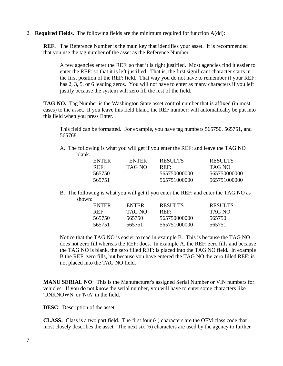2. **Required Fields.** The following fields are the minimum required for function A(dd):

**REF.** The Reference Number is the main key that identifies your asset. It is recommended that you use the tag number of the asset as the Reference Number.

A few agencies enter the REF: so that it is right justified. Most agencies find it easier to enter the REF: so that it is left justified. That is, the first significant character starts in the first position of the REF: field. That way you do not have to remember if your REF: has 2, 3, 5, or 6 leading zeros. You will not have to enter as many characters if you left justify because the system will zero fill the rest of the field.

**TAG NO.** Tag Number is the Washington State asset control number that is affixed (in most cases) to the asset. If you leave this field blank, the REF number: will automatically be put into this field when you press Enter.

This field can be formatted. For example, you have tag numbers 565750, 565751, and 565768.

A. The following is what you will get if you enter the REF: and leave the TAG NO blank.

| ENTER  | <b>ENTER</b> | <b>RESULTS</b> | <b>RESULTS</b> |
|--------|--------------|----------------|----------------|
| REF    | TAG NO       | REF            | TAG NO         |
| 565750 |              | 565750000000   | 565750000000   |
| 565751 |              | 565751000000   | 565751000000   |

B. The following is what you will get if you enter the REF: and enter the TAG NO as shown:

| <b>ENTER</b> | <b>ENTER</b> | <b>RESULTS</b> | <b>RESULTS</b> |
|--------------|--------------|----------------|----------------|
| REF          | TAG NO       | REF:           | TAG NO         |
| 565750       | 565750       | 565750000000   | 565750         |
| 565751       | 565751       | 565751000000   | 565751         |

Notice that the TAG NO is easier to read in example B. This is because the TAG NO does not zero fill whereas the REF: does. In example A, the REF: zero fills and because the TAG NO is blank, the zero filled REF: is placed into the TAG NO field. In example B the REF: zero fills, but because you have entered the TAG NO the zero filled REF: is not placed into the TAG NO field.

**MANU SERIAL NO**: This is the Manufacturer's assigned Serial Number or VIN numbers for vehicles. If you do not know the serial number, you will have to enter some characters like 'UNKNOWN' or 'N/A' in the field.

**DESC**: Description of the asset.

**CLASS:** Class is a two part field. The first four (4) characters are the OFM class code that most closely describes the asset. The next six (6) characters are used by the agency to further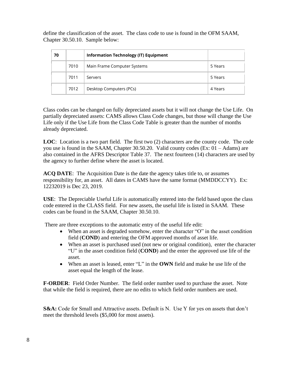define the classification of the asset. The class code to use is found in the OFM SAAM, Chapter 30.50.10. Sample below:

| 70 |      | <b>Information Technology (IT) Equipment</b> |         |
|----|------|----------------------------------------------|---------|
|    | 7010 | Main Frame Computer Systems                  | 5 Years |
|    | 7011 | Servers                                      | 5 Years |
|    | 7012 | Desktop Computers (PCs)                      | 4 Years |

Class codes can be changed on fully depreciated assets but it will not change the Use Life. On partially depreciated assets: CAMS allows Class Code changes, but those will change the Use Life only if the Use Life from the Class Code Table is greater than the number of months already depreciated.

**LOC**: Location is a two part field. The first two (2) characters are the county code. The code you use is found in the SAAM, Chapter 30.50.20. Valid county codes (Ex: 01 – Adams) are also contained in the AFRS Descriptor Table 37. The next fourteen (14) characters are used by the agency to further define where the asset is located.

**ACQ DATE**: The Acquisition Date is the date the agency takes title to, or assumes responsibility for, an asset. All dates in CAMS have the same format (MMDDCCYY). Ex: 12232019 is Dec 23, 2019.

**USE**: The Depreciable Useful Life is automatically entered into the field based upon the class code entered in the CLASS field. For new assets, the useful life is listed in SAAM. These codes can be found in the SAAM, Chapter 30.50.10.

There are three exceptions to the automatic entry of the useful life edit:

- When an asset is degraded somehow, enter the character "O" in the asset condition field (**COND**) and entering the OFM approved months of asset life.
- When an asset is purchased used (not new or original condition), enter the character "U" in the asset condition field (**COND**) and the enter the approved use life of the asset.
- When an asset is leased, enter "L" in the **OWN** field and make he use life of the asset equal the length of the lease.

**F-ORDER**: Field Order Number. The field order number used to purchase the asset. Note that while the field is required, there are no edits to which field order numbers are used.

**S&A:** Code for Small and Attractive assets. Default is N. Use Y for yes on assets that don't meet the threshold levels (\$5,000 for most assets).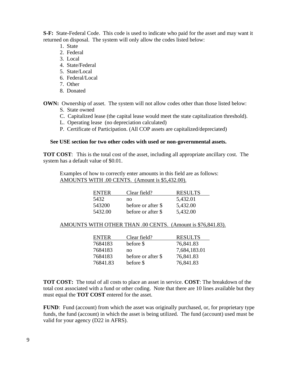**S-F:** State-Federal Code. This code is used to indicate who paid for the asset and may want it returned on disposal. The system will only allow the codes listed below:

- 1. State
- 2. Federal
- 3. Local
- 4. State/Federal
- 5. State/Local
- 6. Federal/Local
- 7. Other
- 8. Donated

**OWN:** Ownership of asset. The system will not allow codes other than those listed below:

- S. State owned
- C. Capitalized lease (the capital lease would meet the state capitalization threshold).
- L. Operating lease (no depreciation calculated)
- P. Certificate of Participation. (All COP assets are capitalized/depreciated)

#### **See USE section for two other codes with used or non-governmental assets.**

**TOT COST**: This is the total cost of the asset, including all appropriate ancillary cost. The system has a default value of \$0.01.

Examples of how to correctly enter amounts in this field are as follows: AMOUNTS WITH .00 CENTS. (Amount is \$5,432.00).

| <b>ENTER</b> | Clear field?       | <b>RESULTS</b> |
|--------------|--------------------|----------------|
| 5432         | no                 | 5,432.01       |
| 543200       | before or after \$ | 5,432.00       |
| 5432.00      | before or after \$ | 5,432.00       |

#### AMOUNTS WITH OTHER THAN .00 CENTS. (Amount is \$76,841.83).

| <b>ENTER</b> | Clear field?       | <b>RESULTS</b> |
|--------------|--------------------|----------------|
| 7684183      | before \$          | 76,841.83      |
| 7684183      | no                 | 7,684,183.01   |
| 7684183      | before or after \$ | 76,841.83      |
| 76841.83     | before \$          | 76,841.83      |

**TOT COST:** The total of all costs to place an asset in service. **COST**: The breakdown of the total cost associated with a fund or other coding. Note that there are 10 lines available but they must equal the **TOT COST** entered for the asset.

**FUND**: Fund (account) from which the asset was originally purchased, or, for proprietary type funds, the fund (account) in which the asset is being utilized. The fund (account) used must be valid for your agency (D22 in AFRS).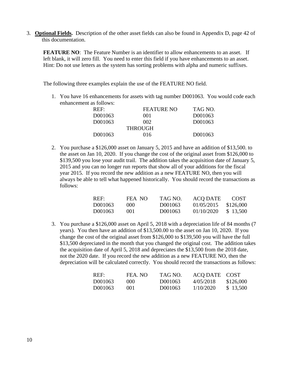3. **Optional Fields.** Description of the other asset fields can also be found in Appendix D, page 42 of this documentation.

**FEATURE NO**: The Feature Number is an identifier to allow enhancements to an asset. If left blank, it will zero fill. You need to enter this field if you have enhancements to an asset. Hint: Do not use letters as the system has sorting problems with alpha and numeric suffixes.

The following three examples explain the use of the FEATURE NO field.

1. You have 16 enhancements for assets with tag number D001063. You would code each enhancement as follows:

| REF     | <b>FEATURE NO</b> | TAG NO. |
|---------|-------------------|---------|
| D001063 | 001               | D001063 |
| D001063 | 002.              | D001063 |
|         | <b>THROUGH</b>    |         |
| D001063 | 016               | D001063 |

2. You purchase a \$126,000 asset on January 5, 2015 and have an addition of \$13,500. to the asset on Jan 10, 2020. If you change the cost of the original asset from \$126,000 to \$139,500 you lose your audit trail. The addition takes the acquisition date of January 5, 2015 and you can no longer run reports that show all of your additions for the fiscal year 2015. If you record the new addition as a new FEATURE NO, then you will always be able to tell what happened historically. You should record the transactions as follows:

| REF:    | FEA NO | TAG NO. | <b>ACQ DATE</b> | <b>COST</b> |
|---------|--------|---------|-----------------|-------------|
| D001063 | (1)(1) | D001063 | 01/05/2015      | \$126,000   |
| D001063 | 001    | D001063 | 01/10/2020      | \$13,500    |

3. You purchase a \$126,000 asset on April 5, 2018 with a depreciation life of 84 months (7 years). You then have an addition of \$13,500.00 to the asset on Jan 10, 2020. If you change the cost of the original asset from \$126,000 to \$139,500 you will have the full \$13,500 depreciated in the month that you changed the original cost. The addition takes the acquisition date of April 5, 2018 and depreciates the \$13,500 from the 2018 date, not the 2020 date. If you record the new addition as a new FEATURE NO, then the depreciation will be calculated correctly. You should record the transactions as follows:

| REF:    | FEA. NO | TAG NO. | ACQ DATE COST |           |
|---------|---------|---------|---------------|-----------|
| D001063 | (000)   | D001063 | 4/05/2018     | \$126,000 |
| D001063 | (101)   | D001063 | 1/10/2020     | \$13,500  |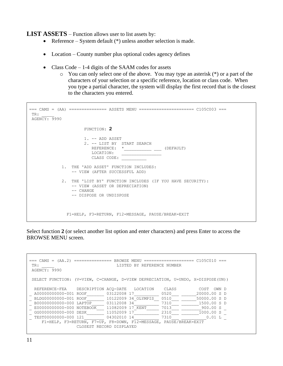**LIST ASSETS** – Function allows user to list assets by:

- Reference System default (\*) unless another selection is made.
- Location County number plus optional codes agency defines
- Class Code 1-4 digits of the SAAM codes for assets
	- $\circ$  You can only select one of the above. You may type an asterisk  $(*)$  or a part of the characters of your selection or a specific reference, location or class code. When you type a partial character, the system will display the first record that is the closest to the characters you entered.

```
=== CAMS = (AA) =============== ASSETS MENU ====================== C105C003 ===
TR: _____
AGENCY: 9990
                          FUNCTION: 2
                          1. -- ADD ASSET
                          2. -- LIST BY START SEARCH
                             \begin{tabular}{ccccc} { \bf {REFERENCE:}} & $\star_{\text{}}$ & $\text{}} & $\text{}} \end{tabular}LOCATION: ________________
                            CLASS CODE:
               1. THE 'ADD ASSET' FUNCTION INCLUDES:
                    -- VIEW (AFTER SUCCESSFUL ADD)
                2. THE 'LIST BY' FUNCTION INCLUDES (IF YOU HAVE SECURITY):
                    -- VIEW (ASSET OR DEPRECIATION)
                    -- CHANGE
                   -- DISPOSE OR UNDISPOSE
                  F1=HELP, F3=RETURN, F12=MESSAGE, PAUSE/BREAK=EXIT
```
Select function **2** (or select another list option and enter characters) and press Enter to access the BROWSE MENU screen.

```
=== CAMS = (AA.2) =============== BROWSE MENU ==================== C105C010 ===
TR: TREERENCE NUMBER
AGENCY: 9990
SELECT FUNCTION: (V=VIEW, C=CHANGE, D=VIEW DEPRECIATION, U=UNDO, X=DISPOSE(UN))
  REFERENCE-FEA DESCRIPTION ACQ-DATE LOCATION CLASS COST OWN D
_ A00000000000-001 ROOF_______ 03122008 17__________ 0520___ ______20000.00 S D
_ BLDG00000000-001 ROOF_______ 10122009 34_OLYMPIS__ 0510___ ______50000.00 S D
_ B00000000000-000 LAPTOP_____ 03112008 34__________ 7310___ _______1500.00 S D
_ E00000000000-000 NOTEBOOK___ 11082009 17_KENT_____ 7013___ ________900.00 S _
_ GG0000000000-000 DESK_______ 11052009 17__________ 2310___ _______1000.00 S _
_ TEST00000000-000 121________ 04302010 14__________ 7310___ __________0.01 L _
 F1=HELP, F3=RETURN, F7=UP, F8=DOWN, F12=MESSAGE, PAUSE/BREAK=EXIT
                  CLOSEST RECORD DISPLAYED
```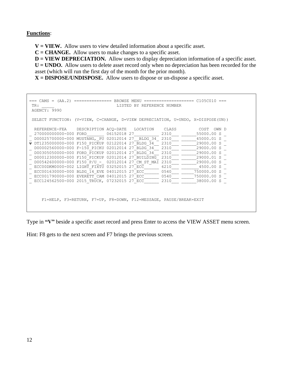#### **Functions**:

**V = VIEW.** Allow users to view detailed information about a specific asset.

**C = CHANGE.** Allow users to make changes to a specific asset.

**D** = **VIEW DEPRECIATION.** Allow users to display depreciation information of a specific asset. **U = UNDO.** Allow users to delete asset record only when no depreciation has been recorded for the asset (which will run the first day of the month for the prior month).

**X = DISPOSE/UNDISPOSE.** Allow users to dispose or un-dispose a specific asset.

```
=== CAMS = (AA.2) =============== BROWSE MENU ==================== C105C010 ===
 TR: TR: TRESPONDING THE LISTED BY REFERENCE NUMBER
 AGENCY: 9990
 SELECT FUNCTION: (V=VIEW, C=CHANGE, D=VIEW DEPRECIATION, U=UNDO, X=DISPOSE(UN))
  REFERENCE-FEA DESCRIPTION ACQ-DATE LOCATION CLASS COST OWN D
_ 270000000000-000 FORD_______ 06152018 27__________ 2310___ ______55000.00 S _
D00025700000-000 MUSTANG, PU 02012014 27 BLDG 34 2310 45000.01 S
v DT1235000000-000 F150_PICKUP 02122014 27_BLDG_34__ 2310___ ______29000.00 S _
_ D00002560000-000 F-150_PICKU 02012014 27_BLDG_34__ 2310___ ______29000.00 S _
\_ D00305050000-000 FORD_PICKUP 02012014 27_BLDG_34__ 2310___ _____29000.00 S
\frac{1}{2} D00012300000-000 F150_PICKUP 02012014 27_BUILDING 2310 \frac{2310}{100} 29000.01 S
\frac{1}{2} D00542600000-000 F150_P/U_-_ 02012014 27_CM_ST_MAI 2310___ ______29000.00 S _<br>ECC00DKM0000-002 LIGHT FIXTU 03252015 27_ECC_______ 6210___ ________4500.00 S _
\frac{2}{\pi} ECC00DKM0000-002 LIGHT_FIXTU 03252015 27 ECC \frac{2}{\pi} 6210 \frac{2}{\pi} \frac{4500.00 \text{ s}}{750000.00 \text{ s}}\frac{1}{2} ECC001630000-000 BLDG_14_EVE 04012015 27_ECC_________ 0540______
\frac{2}{1} ECC001790000-000 EVERETT_CAM 04012015 27_ECC_______ 0540___ _____750000.00 S _
\frac{2}{\sqrt{2}} ECC124562500-000 2015_TRUCK, 07232015 27_ECC_______ 2310___ ________38000.00 S _
      F1=HELP, F3=RETURN, F7=UP, F8=DOWN, F12=MESSAGE, PAUSE/BREAK=EXIT
```
Type in **"V"** beside a specific asset record and press Enter to access the VIEW ASSET menu screen.

Hint: F8 gets to the next screen and F7 brings the previous screen.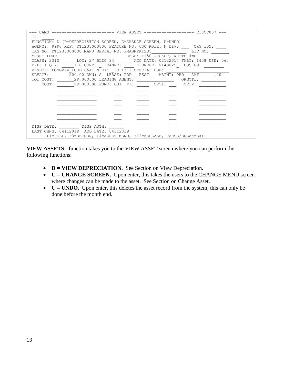| $==$ CAMS                                                             |
|-----------------------------------------------------------------------|
| TR:                                                                   |
| FUNCTION: D (D=DEPRECIATION SCREEN, C=CHANGE SCREEN, U=UNDO)          |
| AGENCY: 9990 REF: DT1235000000 FEATURE NO: 000 ROLL: N DIV: ORG IDX:  |
| TAG NO: DT1235000000 MANU SERIAL NO: FMABNRK1235<br>LIC NO:           |
| DESC: F150 PICKUP, WHITE 4WE<br>MANU: FORD                            |
| LOC: 27 BLDG 34 ACQ DATE: 02122014 FMBI: 1408 USE: 060<br>CLASS: 2310 |
| DEP: 1 QTY: 1.0 COND: LOANED: F-ORDER: F140825 DOC NO:                |
| VENDOR: LONGVEW FORD S&A: N EX: S-F: 1 SPECIAL USE:                   |
| 500.00 OWN: S LEASE: PRD REST MAINT: PRD AMT<br>.00<br>SLVAGE:        |
| 29,000.00 LEASING AGENT:<br>TOT COST:<br>ORGCTL:                      |
| 29,000.00 FUND: 001 PI: OPT1:<br>COST:<br>OPT2:                       |
|                                                                       |
|                                                                       |
|                                                                       |
|                                                                       |
|                                                                       |
|                                                                       |
|                                                                       |
|                                                                       |
| DISP AUTH:<br>DISP DATE:                                              |
| LAST CHNG: 04112019<br>ADD DATE: 04112019                             |
| F1=HELP, F3=RETURN, F4=ASSET MENU, F12=MESSAGE, PAUSE/BREAK=EXIT      |

**VIEW ASSETS -** function takes you to the VIEW ASSET screen where you can perform the following functions:

- **D** = **VIEW DEPRECIATION.** See Section on View Depreciation.
- **C** = **CHANGE SCREEN.** Upon enter, this takes the users to the CHANGE MENU screen where changes can be made to the asset. See Section on Change Asset.
- **U** = **UNDO.** Upon enter, this deletes the asset record from the system, this can only be done before the month end.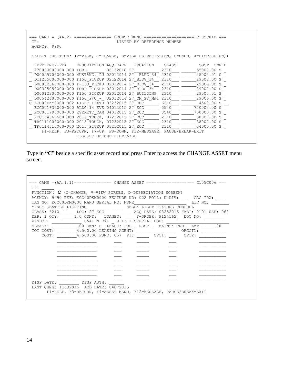=== CAMS = (AA.2) =============== BROWSE MENU ==================== C105C010 === TR: TREERENCE NUMBER AGENCY: 9990 SELECT FUNCTION: (V=VIEW, C=CHANGE, D=VIEW DEPRECIATION, U=UNDO, X=DISPOSE(UN)) REFERENCE-FEA DESCRIPTION ACQ-DATE LOCATION CLASS COST OWN D \_ 270000000000-000 FORD\_\_\_\_\_\_\_ 06152018 27\_\_\_\_\_\_\_\_\_\_ 2310\_\_\_ \_\_\_\_\_\_55000.00 S \_  $D00025700000-000$  MUSTANG, PU 02012014 27 BLDG 34 2310 45000.01 S  $\overline{D}$  DT1235000000-000 F150 PICKUP 02122014 27 BLDG\_34  $\overline{34}$  2310  $\overline{2}$   $\overline{2310}$   $\overline{2310}$   $\overline{2310}$   $\overline{2310}$   $\overline{2310}$   $\overline{2310}$   $\overline{2310}$   $\overline{2310}$   $\overline{2310}$   $\overline{2310}$   $\overline{2310}$   $\overline{23$ \_ D00002560000-000 F-150\_PICKU 02012014 27\_BLDG\_34\_\_ 2310\_\_\_ \_\_\_\_\_\_29000.00 S \_ \_ D00305050000-000 FORD\_PICKUP 02012014 27\_BLDG\_34\_\_ 2310\_\_\_ \_\_\_\_\_\_29000.00 S \_ \_ D00012300000-000 F150\_PICKUP 02012014 27\_BUILDING\_ 2310\_\_\_ \_\_\_\_\_\_29000.01 S \_ \_ D00542600000-000 F150\_P/U\_-\_ 02012014 27\_CM\_ST\_MAI 2310\_\_\_ \_\_\_\_\_\_29000.00 S \_ C ECC00DKM0000-002 LIGHT\_FIXTU 03252015 27\_ECC\_\_\_\_\_\_ 6210\_\_\_ \_\_\_\_\_\_\_4500.00 S \_\_ \_ ECC001630000-000 BLDG\_14\_EVE 04012015 27\_ECC\_\_\_\_\_\_ 0540\_\_\_ \_\_\_\_\_750000.00 S \_ \_ ECC001790000-000 EVERETT\_CAM 04012015 27\_ECC\_\_\_\_\_\_ 0540\_\_\_ \_\_\_\_\_750000.00 S \_ \_ ECC124562500-000 2015\_TRUCK, 07232015 27\_ECC\_\_\_\_\_\_ 2310\_\_\_ \_\_\_\_\_\_38000.00 S \_ \_ TR0111000000-000 2015\_TRUCK, 07232015 27\_ECC\_\_\_\_\_\_ 2310\_\_\_ \_\_\_\_\_\_38000.00 S \_ \_ TR0114510000-000 2015\_PICKUP 03232015 27\_ECC\_\_\_\_\_\_ 2310\_\_\_ \_\_\_\_\_\_34000.00 S \_ F1=HELP, F3=RETURN, F7=UP, F8=DOWN, F12=MESSAGE, PAUSE/BREAK=EXIT CLOSEST RECORD DISPLAYED

Type in **"C"** beside a specific asset record and press Enter to access the CHANGE ASSET menu screen.

| === $CAMS = (AA.1.1)$ ================ $CHANGE$ $ASSET$ ========================= $C105C006$ ===<br>TR:                       |
|-------------------------------------------------------------------------------------------------------------------------------|
| FUNCTION: $C$ (C=CHANGE, V=VIEW SCREEN, D=DEPRECIATION SCREEN)                                                                |
| AGENCY: 9990 REF: ECCOODKMOOOO FEATURE NO: 002 ROLL: N DIV: ORG IDX:                                                          |
| LIC NO:<br>TAG NO: ECCOODKMOOOO MANU SERIAL NO: NONE                                                                          |
| MANU: SEATTLE LIGHTING <a>&gt;&lt;&gt;&gt; DESC: LIGHT FIXTURE REMODEL</a>                                                    |
| CLASS: 6210 LOC: 27 ECC ACQ DATE: 03252015 FMBI: 0101 USE: 060                                                                |
| DEP: 1 QTY: 1.0 COND: LOANED: F-ORDER: F124562 DOC NO:                                                                        |
| $S\&A: N-EX: S-F: 1 SPECTAL USE:$<br>VENDOR:                                                                                  |
| .00 OWN: S LEASE: PRD REST MAINT: PRD AMT .00<br>SLVAGE:                                                                      |
| TOT COST: _________4,500.00 LEASING AGENT: ________________________ ORGCTL: __<br>4,500.00 FUND: 057 PI: OPT1: OPT2:<br>COST: |
|                                                                                                                               |
|                                                                                                                               |
|                                                                                                                               |
|                                                                                                                               |
|                                                                                                                               |
|                                                                                                                               |
|                                                                                                                               |
|                                                                                                                               |
| DISP DATE: DISP AUTH:                                                                                                         |
| LAST CHNG: 11032015 ADD DATE: 04072015                                                                                        |
| F1=HELP, F3=RETURN, F4=ASSET MENU, F12=MESSAGE, PAUSE/BREAK=EXIT                                                              |
|                                                                                                                               |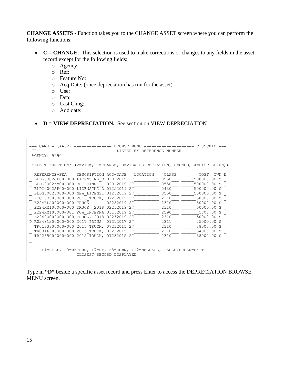**CHANGE ASSETS -** Function takes you to the CHANGE ASSET screen where you can perform the following functions:

- **C = CHANGE.** This selection is used to make corrections or changes to any fields in the asset record except for the following fields:
	- o Agency:
	- o Ref:
	- o Feature No:
	- o Acq Date: (once depreciation has run for the asset)
	- o Use:
	- o Dep:
	- o Last Chng:
	- o Add date:
- **D** = **VIEW DEPRECIATION.** See section on VIEW DEPRECIATION

```
=== CAMS = (AA.2) =============== BROWSE MENU ==================== C105C010 ===
 TR: TREENCE NUMBER CONTROLLER TREENCE NUMBER
 AGENCY: 9990
 SELECT FUNCTION: (V=VIEW, C=CHANGE, D=VIEW DEPRECIATION, U=UNDO, X=DISPOSE(UN))
  REFERENCE-FEA DESCRIPTION ACQ-DATE LOCATION CLASS COST OWN D
REFERENCE-FEA DESCRIPTION ACQ-DATE LOCATION CLASS COST OWN D<br>
BLDG0002JL00-000 LICENSING 0 02012019 27___________ 0550___ _____500000.00 S _
_ BLDG0002KM00-000 BUILDING___ 02012019 27__________ 0550___ _____500000.00 S _
\frac{1}{2} BLDG0002SP00-000 LICENSING 01252019 27 __________ 0430 ___ ____500000.00 S _
_ BLDG00020000-000 NEW_LICENSI 01252019 27__________ 0550___ _____500000.00 S _
_ ECC133300000-000 2015_TRUCK, 07232015 27__________ 2310___ ______38000.00 S _
_ E224BLA00000-000 TRUCK______ 02252019 27__________ 2310___ ______50000.00 S _
_ E224KMI00000-000 TRUCK,_2018 02252019 27__________ 2310___ ______50000.00 S _
E224KMI00000-001 RCW_INTERNA 03152019 27 \qquad \qquad 2590 \qquad \qquad 5800.00 S
_ E22400000000-000 TRUCK,_2018 02252019 27__________ 2310___ ______50000.00 S _
D R02481200000-000 2017 PRIUS 01312017 27 \qquad \qquad 2311 \qquad \qquad 25000.00 S
_ TR0133300000-000 2015_TRUCK, 07232015 27__________ 2310___ ______38000.00 S _
_ TR0316300000-000 2015_TRUCK, 03232015 27__________ 2310___ ______34000.00 S _
_ TR4265000000-000 2015_TRUCK, 07232015 27__________ 2310___ ______38000.00 S __
\overline{\phantom{0}} F1=HELP, F3=RETURN, F7=UP, F8=DOWN, F12=MESSAGE, PAUSE/BREAK=EXIT
                     CLOSEST RECORD DISPLAYED
```
Type in **"D"** beside a specific asset record and press Enter to access the DEPRECIATION BROWSE MENU screen.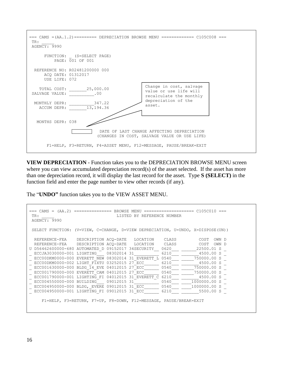

**VIEW DEPRECIATION** - Function takes you to the DEPRECIATION BROWSE MENU screen where you can view accumulated depreciation record(s) of the asset selected. If the asset has more than one depreciation record, it will display the last record for the asset. Type **S (SELECT)** in the function field and enter the page number to view other records (if any).

The "**UNDO"** function takes you to the VIEW ASSET MENU.

```
=== CAMS = (AA.2) =============== BROWSE MENU ==================== C105C010 ===
 TR: TREERENCE NUMBER LISTED BY REFERENCE NUMBER
 AGENCY: 9990
 SELECT FUNCTION: (V=VIEW, C=CHANGE, D=VIEW DEPRECIATION, U=UNDO, X=DISPOSE(UN))
  REFERENCE-FEA DESCRIPTION ACQ-DATE LOCATION CLASS COST OWN D
  REFERENCE-FEA DESCRIPTION ACQ-DATE LOCATION CLASS COST OWN D<br>D56462600000-680 AUTOMATED_D 09152017 34SECURITY__0620___ _______22500.01 S _
U D56462600000-680 AUTOMATED_D 09152017 34SECURITY___ 0620_
\frac{\text{ECCJA3030000-001 LIGHTING}}{\text{ECC00DKM0000-000 EVERET NEW 08302014 31 EVERETT_L 0540}} \frac{6210}{6210}ECC00DKM0000-000 EVERETT_NEW 08302014 31_EVERETT_L 0540
 \frac{ECC00DKM00000-000}{ECC00DKM0000-002} LIGHT_FIXTU 03252015 27_ECC_______ 6210____ ________________4500.00 S<br>ECC001630000-000 BLDG 14 EVE 04012015 27 ECC 0540 750000.00 S
_ ECC001630000-000 BLDG_14_EVE 04012015 27_ECC______ 0540___ _____750000.00 S _
_ ECC001790000-000 EVERETT_CAM 04012015 27_ECC______ 0540___ _____750000.00 S _
_ ECC001790000-001 LIGHTING_FI 04012015 31_EVERETT_C 6210___ _______4500.00 S _
\frac{1}{2} ECC004550000-000 BUILDING 09012015 31
\frac{1}{2} ECC004950000-000 BLDG, EVERE 09012015 31 ECC_______ 0540 ___ ___1000000.00 S
\frac{1}{2} ECC004950000-001 LIGHTING_FI 09012015 31_ECC_______ 6210___ ________5500.00 S _
       F1=HELP, F3=RETURN, F7=UP, F8=DOWN, F12=MESSAGE, PAUSE/BREAK=EXIT
```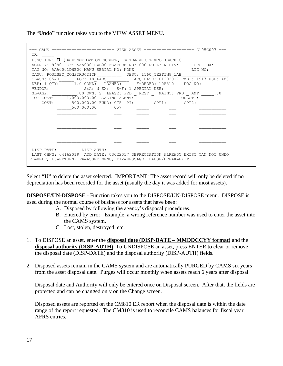The "**Undo"** function takes you to the VIEW ASSET MENU.

| FUNCTION: U (D=DEPRECIATION SCREEN, C=CHANGE SCREEN, U=UNDO)          |      |       |         |  |
|-----------------------------------------------------------------------|------|-------|---------|--|
| AGENCY: 9990 REF: AAA0001DWB00 FEATURE NO: 000 ROLL: N DIV: ORG IDX:  |      |       |         |  |
| TAG NO: AAA0001DWB00 MANU SERIAL NO: NONE                             |      |       | LIC NO: |  |
| MANU: POULSBO_CONSTRUCTION____________DESC: 1560 TESTING LAB          |      |       |         |  |
| CLASS: 0540                                                           |      |       |         |  |
| DEP: 1 QTY: 1.0 COND: LOANED: F-ORDER: 105510 DOC NO:                 |      |       |         |  |
| S&A: N EX: _ S-F: 1 SPECIAL USE:<br>VENDOR:                           |      |       |         |  |
| SLVAGE: ___________.00 OWN: S LEASE: PRD __ REST __ MAINT: PRD __ AMT |      |       | .00     |  |
| TOT COST: 1,000,000.00 LEASING AGENT: ___________________ ORGCTL:     |      |       |         |  |
| 500,000.00 FUND: 075 PI: OPT1:<br>COST:                               |      | OPT2: |         |  |
| 500,000.00                                                            | 0.57 |       |         |  |
|                                                                       |      |       |         |  |
|                                                                       |      |       |         |  |
|                                                                       |      |       |         |  |
|                                                                       |      |       |         |  |
|                                                                       |      |       |         |  |
|                                                                       |      |       |         |  |
|                                                                       |      |       |         |  |
|                                                                       |      |       |         |  |
| DISP AUTH:<br>DISP DATE:                                              |      |       |         |  |

Select **"U"** to delete the asset selected. IMPORTANT: The asset record will only be deleted if no depreciation has been recorded for the asset (usually the day it was added for most assets).

**DISPOSE/UN-DISPOSE** - Function takes you to the DISPOSE/UN-DISPOSE menu. DISPOSE is used during the normal course of business for assets that have been:

- A. Disposed by following the agency's disposal procedures.
- B. Entered by error. Example, a wrong reference number was used to enter the asset into the CAMS system.
- C. Lost, stolen, destroyed, etc.
- 1. To DISPOSE an asset, enter the **disposal date (DISP-DATE – MMDDCCYY format)** and the **disposal authority (DISP-AUTH)**. To UNDISPOSE an asset, press ENTER to clear or remove the disposal date (DISP-DATE) and the disposal authority (DISP-AUTH) fields.
- 2. Disposed assets remain in the CAMS system and are automatically PURGED by CAMS six years from the asset disposal date. Purges will occur monthly when assets reach 6 years after disposal.

Disposal date and Authority will only be entered once on Disposal screen. After that, the fields are protected and can be changed only on the Change screen.

Disposed assets are reported on the CM810 ER report when the disposal date is within the date range of the report requested. The CM810 is used to reconcile CAMS balances for fiscal year AFRS entries.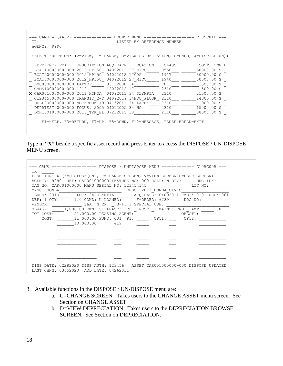=== CAMS = (AA.2) =============== BROWSE MENU ==================== C105C010 === TR: TR: TRESPONDING THE LISTED BY REFERENCE NUMBER AGENCY: 9990 SELECT FUNCTION: (V=VIEW, C=CHANGE, D=VIEW DEPRECIATION, U=UNDO, X=DISPOSE(UN)) REFERENCE-FEA DESCRIPTION ACQ-DATE LOCATION CLASS COST OWN D<br>BOAT10000000-000 2012 HP150 04092012 27 MICC 0550 30000.00 S \_ BOAT10000000-000 2012\_HP150\_ 04092012 27\_MICC\_\_\_\_\_ 0550\_\_\_ \_\_\_\_\_\_30000.00 S \_ \_ BOAT20000000-000 2012\_HP150\_ 04092012 17005\_\_\_\_\_\_\_ 1917\_\_\_ \_\_\_\_\_\_30000.00 S \_ \_ BOAT30000000-000 2012\_HP150\_ 04092012 27\_MICC\_\_\_\_\_ 1940\_\_\_ \_\_\_\_\_\_30000.00 S \_ \_ B00000000000-000 LAPTOP\_\_\_\_\_ 03112008 34\_\_\_\_\_\_\_\_\_\_ 7013\_\_\_ \_\_\_\_\_\_\_1500.00 S \_ \_ CAMS10000000-000 1212\_\_\_\_\_\_\_ 12042012 17\_\_\_\_\_\_\_\_\_\_ 2310\_\_\_ \_\_\_\_\_\_\_\_500.00 S \_ **X** CAR001000000-000 2011\_HONDA\_ 04092011 34\_OLYMPIA\_\_ 2310\_\_\_ \_\_\_\_\_\_21000.00 S \_ \_ C12345600000-000 TRANSIT\_2-D 04092019 34HDQ\_FLOOR\_ 2310\_\_\_ \_\_\_\_\_\_24000.00 S \_  $\begin{array}{l} - \texttt{C12345600000-000} \texttt{ TRAN\overline{S1T_2-F_0}} \texttt{04092019} \texttt{34\overline{H}DQ_FLOOR} \texttt{2310} \texttt{---} \texttt{---} \texttt{24000.00} \texttt{S\_} \texttt{0} \\ - \texttt{DELL20000000-000} \texttt{NOTEBOOK_X9} \texttt{04152011} \texttt{34\_LACEY} \texttt{---} \texttt{7310} \texttt{---} \texttt{---} \texttt{15000.$  $\frac{1}{2}$  DEPRTEST0000-000 FOCUS, 2005 04012005 34 $\frac{1}{2}$ HQ  $\frac{1}{2}$  2310  $\frac{2}{1}$  DOH100100000-000 2015\_TRK\_BL 07232015 38\_\_\_\_\_\_\_\_\_\_\_\_ 2310\_\_\_\_ \_\_\_\_\_\_38000.00 S \_ F1=HELP, F3=RETURN, F7=UP, F8=DOWN, F12=MESSAGE, PAUSE/BREAK=EXIT

Type in **"X"** beside a specific asset record and press Enter to access the DISPOSE / UN-DISPOSE MENU screen.

| === CAMS ================== DISPOSE / UNDISPOSE MENU ============= C105C005 ===<br>TR:                                            |  |
|-----------------------------------------------------------------------------------------------------------------------------------|--|
| FUNCTION: X (X=DISPOSE(UN), C=CHANGE SCREEN, V=VIEW SCREEN D=DEPR SCREEN)                                                         |  |
| AGENCY: 9990 REF: CAR001000000 FEATURE NO: 000 ROLL: N DIV: ORG IDX:<br>LIC NO:<br>TAG NO: CAR001000000 MANU SERIAL NO: 123454145 |  |
| DESC: 2011 HONDA CIVIC<br>MANU: HONDA                                                                                             |  |
| CLASS: 2310 LOC: 34 OLYMPIA ACQ DATE: 04092011 FMBI: 0101 USE: 061                                                                |  |
| DEP: 1 QTY: 1.0 COND: U LOANED: F-ORDER: 6789 DOC NO:                                                                             |  |
| S&A: N EX: S-F: 1 SPECIAL USE:<br>VENDOR:                                                                                         |  |
| SLVAGE: 1,000.00 OWN: S LEASE: PRD REST MAINT: PRD AMT<br>$\cdot$ 00                                                              |  |
| TOT COST:                                                                                                                         |  |
| 11,000.00 FUND: 001 PI: 0PT1:<br>COST:<br>OPT2:                                                                                   |  |
| 10,000.00 419                                                                                                                     |  |
|                                                                                                                                   |  |
|                                                                                                                                   |  |
|                                                                                                                                   |  |
|                                                                                                                                   |  |
|                                                                                                                                   |  |
|                                                                                                                                   |  |
|                                                                                                                                   |  |
| DISP DATE: 02282020 DISP AUTH: 123456 ASSET CAR001000000-000 DISPOSE UPDATED                                                      |  |
| LAST CHNG: 03052020<br>ADD DATE: 04262011                                                                                         |  |

- 3. Available functions in the DISPOSE / UN-DISPOSE menu are:
	- a. C=CHANGE SCREEN. Takes users to the CHANGE ASSET menu screen. See Section on CHANGE ASSET.
	- b. D=VIEW DEPRECIATION. Takes users to the DEPRECIATION BROWSE SCREEN. See Section on DEPRECIATION.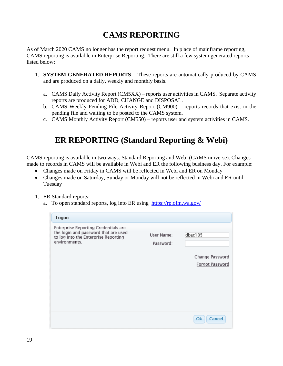# **CAMS REPORTING**

As of March 2020 CAMS no longer has the report request menu. In place of mainframe reporting, CAMS reporting is available in Enterprise Reporting. There are still a few system generated reports listed below:

- 1. **SYSTEM GENERATED REPORTS**  These reports are automatically produced by CAMS and are produced on a daily, weekly and monthly basis.
	- a. CAMS Daily Activity Report (CM5XX) reports user activities in CAMS. Separate activity reports are produced for ADD, CHANGE and DISPOSAL.
	- b. CAMS Weekly Pending File Activity Report (CM900) reports records that exist in the pending file and waiting to be posted to the CAMS system.
	- c. CAMS Monthly Activity Report (CM550) reports user and system activities in CAMS.

# **ER REPORTING (Standard Reporting & Webi)**

CAMS reporting is available in two ways: Standard Reporting and Webi (CAMS universe). Changes made to records in CAMS will be available in Webi and ER the following business day. For example:

- Changes made on Friday in CAMS will be reflected in Webi and ER on Monday
- Changes made on Saturday, Sunday or Monday will not be reflected in Webi and ER until Tuesday
- 1. ER Standard reports:
	- a. To open standard reports, log into ER using <https://rp.ofm.wa.gov/>

| Logon                                                                                                                                 |                         |                                    |
|---------------------------------------------------------------------------------------------------------------------------------------|-------------------------|------------------------------------|
| Enterprise Reporting Credentials are<br>the login and password that are used<br>to log into the Enterprise Reporting<br>environments. | User Name:<br>Password: | dbac105                            |
|                                                                                                                                       |                         | Change Password<br>Forgot Password |
|                                                                                                                                       |                         | Ok<br>Cancel                       |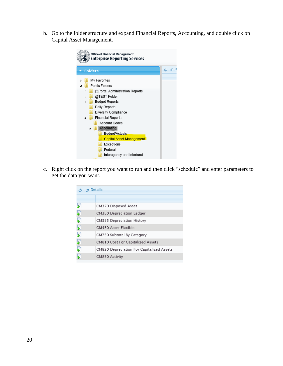b. Go to the folder structure and expand Financial Reports, Accounting, and double click on Capital Asset Management.

| Office of Financial Management<br><b>Enterprise Reporting Services</b>                                                                                                                                                                                                                                                               |   |                  |
|--------------------------------------------------------------------------------------------------------------------------------------------------------------------------------------------------------------------------------------------------------------------------------------------------------------------------------------|---|------------------|
| <b>Folders</b>                                                                                                                                                                                                                                                                                                                       | Ó | <sub>r</sub> a D |
| My Favorites<br><b>Public Folders</b><br>@Portal Administration Reports<br>@TEST Folder<br><b>Budget Reports</b><br>Daily Reports<br>Diversity Compliance<br><b>Financial Reports</b><br>⊿<br>Account Codes<br><b>Accounting</b><br>Budget/Actuals<br>Capital Asset Management<br>Exceptions<br>Federal<br>Interagency and Interfund |   |                  |

c. Right click on the report you want to run and then click "schedule" and enter parameters to get the data you want.

|    | ය <i>ල</i> Details                        |
|----|-------------------------------------------|
|    |                                           |
|    | CM370 Disposed Asset                      |
|    | CM380 Depreciation Ledger                 |
|    | CM385 Depreciation History                |
| 5  | CM450 Asset Flexible                      |
|    | CM750 Subtotal By Category                |
| b, | CM810 Cost For Capitalized Assets         |
|    | CM820 Depreciation For Capitalized Assets |
|    | CM850 Activity                            |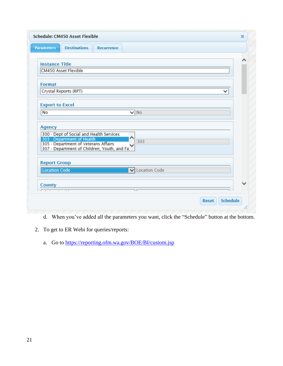| <b>Parameters</b>      | <b>Destinations</b>                                                                                               | <b>Recurrence</b> |                |                        |  |  |
|------------------------|-------------------------------------------------------------------------------------------------------------------|-------------------|----------------|------------------------|--|--|
|                        |                                                                                                                   |                   |                |                        |  |  |
|                        |                                                                                                                   |                   |                |                        |  |  |
| <b>Instance Title</b>  |                                                                                                                   |                   |                |                        |  |  |
|                        | CM450 Asset Flexible                                                                                              |                   |                |                        |  |  |
|                        |                                                                                                                   |                   |                |                        |  |  |
| <b>Format</b>          |                                                                                                                   |                   |                |                        |  |  |
| Crystal Reports (RPT)  |                                                                                                                   |                   |                |                        |  |  |
|                        |                                                                                                                   |                   |                |                        |  |  |
| <b>Export to Excel</b> |                                                                                                                   |                   |                |                        |  |  |
| No                     |                                                                                                                   |                   | $\sqrt{NQ}$    |                        |  |  |
|                        |                                                                                                                   |                   |                |                        |  |  |
| <b>Agency</b>          |                                                                                                                   |                   |                |                        |  |  |
|                        | 300 - Dept of Social and Health Services                                                                          |                   |                |                        |  |  |
|                        |                                                                                                                   |                   |                | 303                    |  |  |
|                        | 303 - Department of Health<br>305 - Department of Veterans Affairs<br>307 - Department of Children, Youth, and Fa |                   |                |                        |  |  |
|                        |                                                                                                                   |                   |                |                        |  |  |
| <b>Report Group</b>    |                                                                                                                   |                   |                |                        |  |  |
| Location Code          |                                                                                                                   |                   |                | <b>V</b> Location Code |  |  |
|                        |                                                                                                                   |                   |                |                        |  |  |
| <b>County</b>          |                                                                                                                   |                   |                |                        |  |  |
|                        |                                                                                                                   |                   | $\overline{1}$ |                        |  |  |
|                        |                                                                                                                   |                   |                |                        |  |  |

- d. When you've added all the parameters you want, click the "Schedule" button at the bottom.
- 2. To get to ER Webi for queries/reports:
	- a. Go to<https://reporting.ofm.wa.gov/BOE/BI/custom.jsp>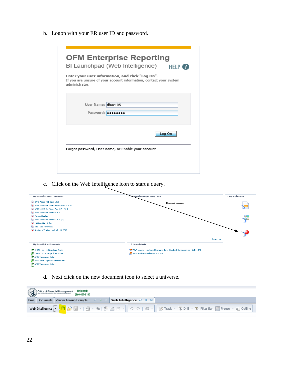b. Logon with your ER user ID and password.

| administrator. | Enter your user information, and click "Log On".<br>If you are unsure of your account information, contact your system |  |        |  |
|----------------|------------------------------------------------------------------------------------------------------------------------|--|--------|--|
|                | User Name: dbac105<br>Password:                                                                                        |  |        |  |
|                |                                                                                                                        |  | Log On |  |

c. Click on the Web Intelligence icon to start a query.



d. Next click on the new document icon to select a universe.

|  | Office of Financial Management Help Desk:<br>(360)407-9100 |                                 |  |
|--|------------------------------------------------------------|---------------------------------|--|
|  | Home   Documents   Vendor Lookup Example   P P R           | <b>Neb Intelligence</b> $P + B$ |  |
|  |                                                            |                                 |  |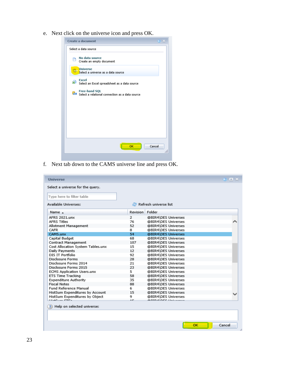e. Next click on the universe icon and press OK.

| <b>Create a document</b>                                                           |        |
|------------------------------------------------------------------------------------|--------|
| Select a data source                                                               |        |
| No data source<br>Create an empty document                                         |        |
| <b>Universe</b><br>Select a universe as a data source                              |        |
| Excel<br>遢<br>Select an Excel spreadsheet as a data source                         |        |
| <b>Free-hand SQL</b><br><b>Gue Select a relational connection as a data source</b> |        |
|                                                                                    |        |
|                                                                                    |        |
|                                                                                    |        |
|                                                                                    |        |
| <b>OK</b>                                                                          | Cancel |
|                                                                                    |        |

f. Next tab down to the CAMS universe line and press OK.

| <b>Universe</b>                   |                 |                         | 81 E X |
|-----------------------------------|-----------------|-------------------------|--------|
| Select a universe for the query.  |                 |                         |        |
| Type here to filter table         |                 |                         |        |
| <b>Available Universes:</b>       |                 | Refresh universe list   |        |
| Name $\triangle$                  | <b>Revision</b> | Folder                  |        |
| <b>AFRS 2021.unx</b>              | 2               | @BIR4\DES Universes     |        |
| <b>AFRS Titles</b>                | 76              | @BIR4\DES Universes     |        |
| Allotment Management              | 52              | @BIR4\DES Universes     |        |
| <b>CAFR</b>                       | 8.              | @BIR4\DES Universes     |        |
| CAMS.unx                          | 54              | @BIR4\DES Universes     |        |
| Capital Budget                    | 68              | @BIR4\DES Universes     |        |
| <b>Contract Management</b>        | 107             | @BIR4\DES Universes     |        |
| Cost Allocation System Tables.unx | 15              | @BIR4\DES Universes     |        |
| Daily Payments                    | 12              | @BIR4\DES Universes     |        |
| DIS IT Portfolio                  | 92              | @BIR4\DES Universes     |        |
| Disclosure Forms                  | 28              | @BIR4\DES Universes     |        |
| Disclosure Forms 2014             | 21              | @BIR4\DES Universes     |        |
| Disclosure Forms 2015             | 23              | @BIR4\DES Universes     |        |
| <b>ECMS Application Users.unx</b> | 5               | @BIR4\DES Universes     |        |
| ETS Time Tracking                 | 58              | @BIR4\DES Universes     |        |
| <b>Expenditure Authority</b>      | 35              | @BIR4\DES Universes     |        |
| <b>Fiscal Notes</b>               | 88              | @BIR4\DES Universes     |        |
| <b>Fund Reference Manual</b>      | 6.              | @BIR4\DES Universes     |        |
| HistSum Expenditures by Account   | 15              | @BIR4\DES Universes     |        |
| HistSum Expenditures by Object    | 9.              | @BIR4\DES Universes     |        |
| <b>LIGHTHAM FTF-</b>              | œ               | <b>SOIDALBER HALLAS</b> |        |
| ? Help on selected universe:      |                 |                         |        |
|                                   |                 |                         |        |
|                                   |                 | oк                      | Cancel |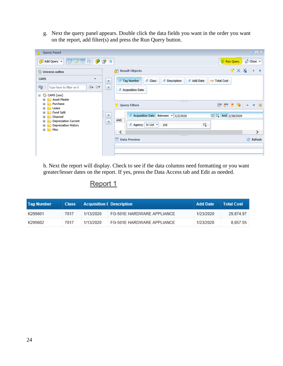g. Next the query panel appears. Double click the data fields you want in the order you want on the report, add filter(s) and press the Run Query button.

| Query Panel                                                                                                                                                                                                                                                                                                                    |                                                                                                                                                                                                                                                         | $2E \times$                                                              |
|--------------------------------------------------------------------------------------------------------------------------------------------------------------------------------------------------------------------------------------------------------------------------------------------------------------------------------|---------------------------------------------------------------------------------------------------------------------------------------------------------------------------------------------------------------------------------------------------------|--------------------------------------------------------------------------|
| dregor<br>Add Query +                                                                                                                                                                                                                                                                                                          |                                                                                                                                                                                                                                                         | Run Query<br><mark>न</mark> ़ी Close ▼                                   |
| Universe outline                                                                                                                                                                                                                                                                                                               | <b>Result Objects</b>                                                                                                                                                                                                                                   | $\forall$ $\times$ $\times$ $\rightarrow$                                |
| CAMS<br>▼<br>ৎত্ত<br>Type here to filter on ti<br>⊕∔ ⊟†<br>⊟ 가 <mark>소</mark> CAMS [unx]<br>Asset Master<br>$\boxdot$<br>Purchase<br>$\Box$<br><b>Lease</b><br>$\blacksquare$<br>Fund Split<br>$\blacksquare$<br>Disposal<br>$\blacksquare$<br>Depreciation Current<br>$\boxdot$<br>Depreciation History<br>▣<br>E <b>Misc</b> | Add Date<br>Class<br><b>Tag Number</b><br>Description<br>۰<br>$\geq$<br>$\,<$<br><b>Acquisition Date</b><br>2222<br><b>Y</b> Query Filters<br>$\geq$<br>Acquisition Date Between 1/2/2020<br>×<br>AND<br>$\leq$<br>₽<br>Agency In List v<br>105<br>**** | um Total Cost<br>定 行 卒 心 → ▼ 回<br>$\frac{12}{3}$ And 2/28/2020<br>雨<br>⋗ |
|                                                                                                                                                                                                                                                                                                                                | 嚻<br><b>Data Preview</b>                                                                                                                                                                                                                                | Refresh                                                                  |
|                                                                                                                                                                                                                                                                                                                                |                                                                                                                                                                                                                                                         |                                                                          |

h. Next the report will display. Check to see if the data columns need formatting or you want greater/lesser dates on the report. If yes, press the Data Access tab and Edit as needed.

#### Report 1

| <b>Tag Number</b> | <b>Class</b> | <b>Acquisition I Description</b> |                            | <b>Add Date</b> | <b>Total Cost</b> |
|-------------------|--------------|----------------------------------|----------------------------|-----------------|-------------------|
| K295601           | 7017         | 1/13/2020                        | FG-501E HARDWARE APPLIANCE | 1/23/2020       | 29.874.97         |
| K295602           | 7017         | 1/13/2020                        | FG-501E HARDWARE APPLIANCE | 1/23/2020       | 8.657.55          |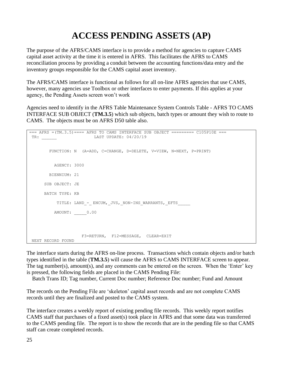# **ACCESS PENDING ASSETS (AP)**

The purpose of the AFRS/CAMS interface is to provide a method for agencies to capture CAMS capital asset activity at the time it is entered in AFRS. This facilitates the AFRS to CAMS reconciliation process by providing a conduit between the accounting functions/data entry and the inventory groups responsible for the CAMS capital asset inventory.

The AFRS/CAMS interface is functional as follows for all on-line AFRS agencies that use CAMS, however, many agencies use Toolbox or other interfaces to enter payments. If this applies at your agency, the Pending Assets screen won't work

Agencies need to identify in the AFRS Table Maintenance System Controls Table - AFRS TO CAMS INTERFACE SUB OBJECT (**TM.3.5**) which sub objects, batch types or amount they wish to route to CAMS. The objects must be on AFRS D50 table also.

| $==$ AFRS = $(TM.3.5)$ ==== AFRS TO CAMS INTERFACE SUB OBJECT ========= C105P10E === |
|--------------------------------------------------------------------------------------|
| LAST UPDATE: 04/20/19<br>TR:                                                         |
|                                                                                      |
| FUNCTION: N (A=ADD, C=CHANGE, D=DELETE, V=VIEW, N=NEXT, P=PRINT)                     |
|                                                                                      |
|                                                                                      |
| AGENCY: 3000                                                                         |
| BIENNIUM: 21                                                                         |
|                                                                                      |
| SUB OBJECT: JE                                                                       |
| BATCH TYPE: KB                                                                       |
|                                                                                      |
| TITLE: LAND - ENCUM, JVS, NON-INS WARRANTS, EFTS                                     |
|                                                                                      |
| AMOUNT: 0.00                                                                         |
|                                                                                      |
|                                                                                      |
|                                                                                      |
| F3=RETURN, F12=MESSAGE, CLEAR=EXIT                                                   |
| NEXT RECORD FOUND                                                                    |

The interface starts during the AFRS on-line process. Transactions which contain objects and/or batch types identified in the table (**TM.3.5**) will cause the AFRS to CAMS INTERFACE screen to appear. The tag number(s), amount(s), and any comments can be entered on the screen. When the 'Enter' key is pressed, the following fields are placed in the CAMS Pending File:

Batch Trans ID; Tag number, Current Doc number; Reference Doc number; Fund and Amount

The records on the Pending File are 'skeleton' capital asset records and are not complete CAMS records until they are finalized and posted to the CAMS system.

The interface creates a weekly report of existing pending file records. This weekly report notifies CAMS staff that purchases of a fixed asset(s) took place in AFRS and that some data was transferred to the CAMS pending file. The report is to show the records that are in the pending file so that CAMS staff can create completed records.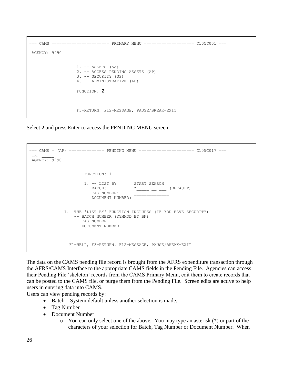```
=== CAMS ======================= PRIMARY MENU ==================== C105C001 ===
AGENCY: 9990
                   1. -- ASSETS (AA) 2. -- ACCESS PENDING ASSETS (AP)
                    3. -- SECURITY (SS)
                    4. -- ADMINISTRATIVE (AD)
                    FUNCTION: 2
                    F3=RETURN, F12=MESSAGE, PAUSE/BREAK=EXIT
```
Select **2** and press Enter to access the PENDING MENU screen.

```
=== CAMS = (AP) ============== PENDING MENU ====================== C105C017 ===
TR: _____
AGENCY: 9990
                      FUNCTION: 1
                     1. -- LIST BY START SEARCH
                       BATCH: * _____ __ __ (DEFAULT)<br>TAG NUMBER: ______ ____ (DEFAULT)
TAG NUMBER:
                        DOCUMENT NUMBER: __________
              1. THE 'LIST BY' FUNCTION INCLUDES (IF YOU HAVE SECURITY)
                  -- BATCH NUMBER (YYMMDD BT BN)
                 -- TAG NUMBER
                 -- DOCUMENT NUMBER
                F1=HELP, F3=RETURN, F12=MESSAGE, PAUSE/BREAK=EXIT
```
The data on the CAMS pending file record is brought from the AFRS expenditure transaction through the AFRS/CAMS Interface to the appropriate CAMS fields in the Pending File. Agencies can access their Pending File 'skeleton' records from the CAMS Primary Menu, edit them to create records that can be posted to the CAMS file, or purge them from the Pending File. Screen edits are active to help users in entering data into CAMS.

Users can view pending records by:

- Batch System default unless another selection is made.
- Tag Number
- Document Number
	- o You can only select one of the above. You may type an asterisk (\*) or part of the characters of your selection for Batch, Tag Number or Document Number. When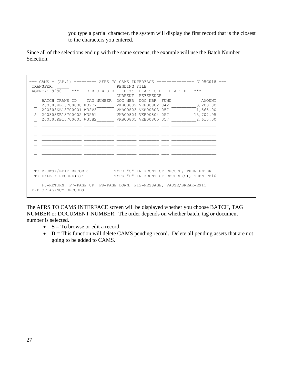you type a partial character, the system will display the first record that is the closest to the characters you entered.

Since all of the selections end up with the same screens, the example will use the Batch Number Selection.

|                   | $==$ CAMS = $(AP.1)$ ========= AFRS TO CAMS INTERFACE ================ $C105C018$ ===<br>TRANSFER: | PENDING FILE |                                                |                       |  |
|-------------------|----------------------------------------------------------------------------------------------------|--------------|------------------------------------------------|-----------------------|--|
|                   | AGENCY: 9990 *** BROWSE BY: BATCH DATE ***                                                         |              | CURRENT REFERENCE                              |                       |  |
|                   | BATCH TRANS ID TAG NUMBER DOC NBR DOC NBR FUND                                                     |              |                                                | AMOUNT                |  |
|                   | 200303KB13700000 W32T7<br>200303KB13700001 W32V3                                                   |              | VKB00802 VKB00802 042<br>VKB00803 VKB00803 057 | 3,200.00              |  |
| $S_{\mathcal{L}}$ | 200303KB13700002 W35B1                                                                             |              | VKB00804 VKB00804 057                          | 1,565.00<br>13,707.95 |  |
|                   | 200303KB13700003 W35B2                                                                             |              |                                                | 2,613.00              |  |
|                   |                                                                                                    |              |                                                |                       |  |
|                   |                                                                                                    |              |                                                |                       |  |
|                   |                                                                                                    |              |                                                |                       |  |
|                   |                                                                                                    |              |                                                |                       |  |
|                   |                                                                                                    |              |                                                |                       |  |
|                   |                                                                                                    |              |                                                |                       |  |
|                   |                                                                                                    |              |                                                |                       |  |
|                   |                                                                                                    |              |                                                |                       |  |
|                   | TO BROWSE/EDIT RECORD: TYPE "S" IN FRONT OF RECORD, THEN ENTER                                     |              |                                                |                       |  |
|                   | TO DELETE RECORD(S): TYPE "D" IN FRONT OF RECORD(S), THEN PF10                                     |              |                                                |                       |  |
|                   | F3=RETURN, F7=PAGE UP, F8=PAGE DOWN, F12=MESSAGE, PAUSE/BREAK=EXIT<br>END OF AGENCY RECORDS        |              |                                                |                       |  |

The AFRS TO CAMS INTERFACE screen will be displayed whether you choose BATCH, TAG NUMBER or DOCUMENT NUMBER. The order depends on whether batch, tag or document number is selected.

- **S** = To browse or edit a record,
- **D** = This function will delete CAMS pending record. Delete all pending assets that are not going to be added to CAMS.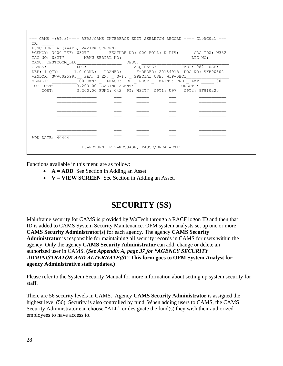| TR:             | $==$ CAMS = (AP.3) ==== AFRS/CAMS INTERFACE EDIT SKELETON RECORD ==== C105C021 ===       |                                          |     |
|-----------------|------------------------------------------------------------------------------------------|------------------------------------------|-----|
|                 | FUNCTION: A (A=ADD, V=VIEW SCREEN)                                                       |                                          |     |
|                 | AGENCY: 3000 REF: W32T7 FEATURE NO: 000 ROLL: N DIV: ORG IDX: W332                       |                                          |     |
|                 | TAG NO: W32T7 MANU SERIAL NO:                                                            | LIC NO:                                  |     |
| CLASS:          | MANU: TESTCOMM_LLC____________________DESC: _                                            |                                          |     |
|                 | DEP: 1 QTY: 1.0 COND: LOANED: F-ORDER: 2018491B DOC NO: VKB00802                         |                                          |     |
|                 | VENDOR: SWV0025993  S&A: N EX: S-F: SPECIAL USE: WIP-0BC1                                |                                          |     |
|                 | SLVAGE: .00 OWN: LEASE: PRD _ REST _ MAINT: PRD _ AMT _                                  |                                          | 00. |
|                 | TOT COST: __________3,200.00 LEASING AGENT: ___________________________________ORGCTL: _ |                                          |     |
|                 | COST: 3,200.00 FUND: 042 PI: W32T7 OPT1: U97 OPT2: 9F910220                              |                                          |     |
|                 |                                                                                          |                                          |     |
|                 |                                                                                          |                                          |     |
|                 |                                                                                          |                                          |     |
|                 |                                                                                          |                                          |     |
|                 |                                                                                          |                                          |     |
|                 |                                                                                          |                                          |     |
|                 |                                                                                          |                                          |     |
|                 |                                                                                          |                                          |     |
|                 |                                                                                          |                                          |     |
| ADD DATE: 40404 |                                                                                          |                                          |     |
|                 |                                                                                          | F3=RETURN, F12=MESSAGE, PAUSE/BREAK=EXIT |     |

Functions available in this menu are as follow:

- **A** = **ADD** See Section in Adding an Asset
- **V = VIEW SCREEN** See Section in Adding an Asset.

## **SECURITY (SS)**

Mainframe security for CAMS is provided by WaTech through a RACF logon ID and then that ID is added to CAMS System Security Maintenance. OFM system analysts set up one or more **CAMS Security Administrator(s)** for each agency. The agency **CAMS Security Administrator** is responsible for maintaining all security records in CAMS for users within the agency. Only the agency **CAMS Security Administrator** can add, change or delete an authorized user in CAMS. **(***See Appendix A, page 37 for "AGENCY SECURITY ADMINISTRATOR AND ALTERNATE(S)"* **This form goes to OFM System Analyst for agency Administrative staff updates.)**

Please refer to the System Security Manual for more information about setting up system security for staff.

There are 56 security levels in CAMS. Agency **CAMS Security Administrator** is assigned the highest level (56). Security is also controlled by fund. When adding users to CAMS, the CAMS Security Administrator can choose "ALL" or designate the fund(s) they wish their authorized employees to have access to.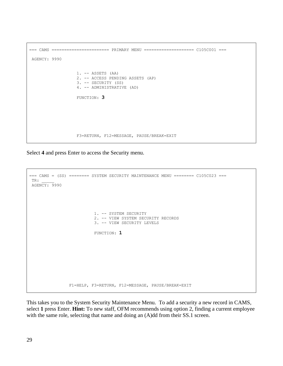```
=== CAMS ======================= PRIMARY MENU ==================== C105C001 ===
AGENCY: 9990
                    1. -- ASSETS (AA)
                    2. -- ACCESS PENDING ASSETS (AP)
                    3. -- SECURITY (SS)
                    4. -- ADMINISTRATIVE (AD)
                    FUNCTION: 3
                    F3=RETURN, F12=MESSAGE, PAUSE/BREAK=EXIT
```
Select **4** and press Enter to access the Security menu.

```
=== CAMS = (SS) ======== SYSTEM SECURITY MAINTENANCE MENU ======== C105C023 ===
TR: _____
AGENCY: 9990
                            1. -- SYSTEM SECURITY
                            2. -- VIEW SYSTEM SECURITY RECORDS
                            3. -- VIEW SECURITY LEVELS
                           FUNCTION: 1
                 F1=HELP, F3=RETURN, F12=MESSAGE, PAUSE/BREAK=EXIT
```
This takes you to the System Security Maintenance Menu. To add a security a new record in CAMS, select **1** press Enter. **Hint:** To new staff, OFM recommends using option 2, finding a current employee with the same role, selecting that name and doing an  $(A)$ dd from their SS.1 screen.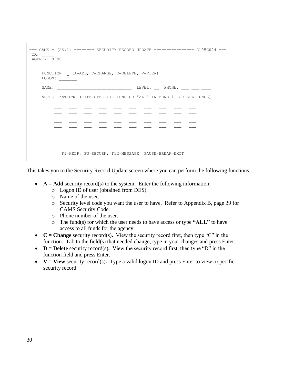```
== CAMS = (SS.1) == == = SECURITY RECORD UPDATE == == == == == ==  C105C024 ==TR: _____
 AGENCY: 9990
        FUNCTION: _ (A=ADD, C=CHANGE, D=DELETE, V=VIEW)
       LOGON:NAME: PHONE: LEVEL: PHONE:
        AUTHORIZATIONS (TYPE SPECIFIC FUND OR "ALL" IN FUND 1 FOR ALL FUNDS)
\mathcal{L} = \{ \mathcal{L} \}\overline{\phantom{a}} , \overline{\phantom{a}} , \overline{\phantom{a}} , \overline{\phantom{a}} , \overline{\phantom{a}} , \overline{\phantom{a}} , \overline{\phantom{a}} , \overline{\phantom{a}} , \overline{\phantom{a}} , \overline{\phantom{a}} , \overline{\phantom{a}} , \overline{\phantom{a}} , \overline{\phantom{a}} , \overline{\phantom{a}} , \overline{\phantom{a}} , \overline{\phantom{a}} F1=HELP, F3=RETURN, F12=MESSAGE, PAUSE/BREAK=EXIT
```
This takes you to the Security Record Update screen where you can perform the following functions:

- **A** = **Add** security record(s) to the system. Enter the following information:
	- o Logon ID of user (obtained from DES).
	- o Name of the user.
	- o Security level code you want the user to have. Refer to Appendix B, page 39 for CAMS Security Code.
	- o Phone number of the user.
	- o The fund(s) for which the user needs to have access or type **"ALL"** to have access to all funds for the agency.
- $C = Change$  security record(s). View the security record first, then type "C" in the function. Tab to the field(s) that needed change, type in your changes and press Enter.
- **D = Delete** security record(s)**.** View the security record first, then type "D" in the function field and press Enter.
- $V = View$  security record(s). Type a valid logon ID and press Enter to view a specific security record.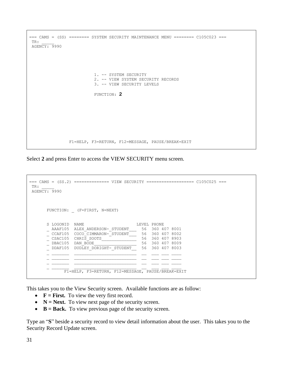```
=== CAMS = (SS) ======== SYSTEM SECURITY MAINTENANCE MENU ======== C105C023 ===
TR: _____
AGENCY: 9990
                           1. -- SYSTEM SECURITY
                            2. -- VIEW SYSTEM SECURITY RECORDS
                            3. -- VIEW SECURITY LEVELS
                            FUNCTION: 2
                 F1=HELP, F3=RETURN, F12=MESSAGE, PAUSE/BREAK=EXIT
```
Select **2** and press Enter to access the VIEW SECURITY menu screen.

```
=== CAMS = (SS.2) ============== VIEW SECURITY =================== C105C025 ===
TR: _____
AGENCY: 9990
      FUNCTION: _ (F=FIRST, N=NEXT)
S LOGONID NAME LEVEL PHONE
 _ AAAF105 ALEX_ANDERSON-_STUDENT___ 56 360 407 8001
 _ CCAF105 COCO_CIMMARON-_STUDENT___ 56 360 407 8002
 _ CSAC105 CHRIS_SOOTS______________ 56 360 407 8903
 _ DBAC105 DAN_BODE_________________ 56 360 407 8009
 _ DDAF105 DUDLEY_DORIGHT-_STUDENT__ 56 360 407 8003
\mathcal{L} = \{ \mathcal{L} \}\mathcal{L} = \{ \mathcal{L} \} F1=HELP, F3=RETURN, F12=MESSAGE, PAUSE/BREAK=EXIT
```
This takes you to the View Security screen. Available functions are as follow:

- **F** = **First.** To view the very first record.
- **N** = **Next.** To view next page of the security screen.
- **B = Back.** To view previous page of the security screen.

Type an "**S**" beside a security record to view detail information about the user. This takes you to the Security Record Update screen.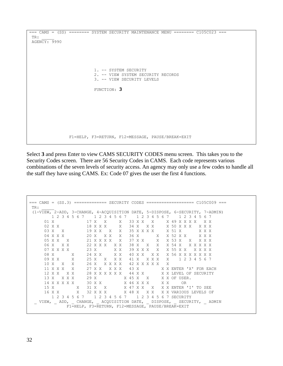```
== CAMS = (SS) == == = SYSTEM SECURITY MAINTENANCE MENU == == == C105C023 ==TR: _____
AGENCY: 9990
                            1. -- SYSTEM SECURITY
                            2. -- VIEW SYSTEM SECURITY RECORDS
                            3. -- VIEW SECURITY LEVELS
                           FUNCTION: 3
                 F1=HELP, F3=RETURN, F12=MESSAGE, PAUSE/BREAK=EXIT
```
Select **3** and press Enter to view CAMS SECURITY CODES menu screen. This takes you to the Security Codes screen. There are 56 Security Codes in CAMS. Each code represents various combinations of the seven levels of security access. An agency may only use a few codes to handle all the staff they have using CAMS. Ex: Code 07 gives the user the first 4 functions.

```
=== CAMS = (SS.3) ============= SECURITY CODES =================== C105C009 ===
TR: _____
 (1-VIEW, 2-ADD, 3-CHANGE, 4-ACQUISITION DATE, 5-DISPOSE, 6-SECURITY, 7-ADMIN)
          1 2 3 4 5 6 7 1 2 3 4 5 6 7 1 2 3 4 5 6 7 1 2 3 4 5 6 7
       01 X 17 X X X 33 X X X X 49 X X X X X X
                                                              02 X X 18 X X X X 34 X X X X 50 X X X X X X
       03 X X 19 X X X X 35 X X X X X 51 X X X X
 04 X X X 20 X X X X 36 X X X 52 X X X X X
 05 X X X 21 X X X X X 37 X X X X 53 X X X X X
       06 X X X 22 X X X X X 38 X X X X 54 X X X X X X
       07 X X X X 23 X X X 39 X X X X X 55 X X X X X X
      \begin{array}{lllllllllll} 08 & \text{X} & \text{X} & \text{24 X X} & \text{X X} & \text{40 X X} & \text{X X} & \text{X 56 X X X X X X X} \\ 09 & \text{X X} & \text{X} & \text{25 X} & \text{X X X} & \text{41 X} & \text{X X X} & \text{X} & \text{1 2 3 4 5 6 7} \\ 10 & \text{X} & \text{X} & \text{X} & \text{26 X} & \text{X X X X} & \text{42 X X X X X} & \text{X} & \text{X} & \text{X} & \text 09 X X X 25 X X X X 41 X X X X X 1 2 3 4 5 6 7
                          10 X X X 26 X X X X X 42 X X X X X X
       11 X X X X 27 X X X X X 43 X X X ENTER 'X' FOR EACH
       12 X X X X 28 X X X X X X 44 X X X X LEVEL OF SECURITY
      13 X X X X 29 X X 45 X X X X OF USER.
      14 X X X X X 30 X X X 46 X X X X X OR<br>15 X X 31 X X X 47 X X X X X ENTER<br>16 X X X 32 X X X X 48 X X X X X VARIOU
       15 X X 31 X X X 47 X X X X X ENTER 'I' TO SEE
       16 X X X 32 X X X X 48 X X X X X VARIOUS LEVELS OF
         1 2 3 4 5 6 7 1 2 3 4 5 6 7 1 2 3 4 5 6 7 SECURITY
  \_ VIEW, \_ ADD, \_ CHANGE, \_ ACQUISITION DATE, \_ DISPOSE, \_ SECURITY, \_ ADMIN
                 F1=HELP, F3=RETURN, F12=MESSAGE, PAUSE/BREAK=EXIT
```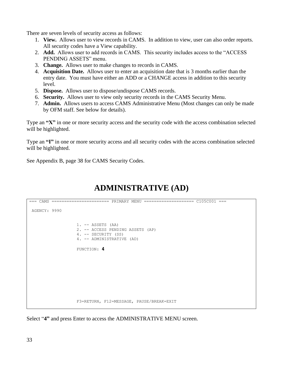There are seven levels of security access as follows:

- 1. **View.** Allows user to view records in CAMS. In addition to view, user can also order reports. All security codes have a View capability.
- 2. **Add.** Allows user to add records in CAMS. This security includes access to the "ACCESS PENDING ASSETS" menu.
- 3. **Change.** Allows user to make changes to records in CAMS.
- 4. **Acquisition Date.** Allows user to enter an acquisition date that is 3 months earlier than the entry date. You must have either an ADD or a CHANGE access in addition to this security level.
- 5. **Dispose.** Allows user to dispose/undispose CAMS records.
- 6. **Security.** Allows user to view only security records in the CAMS Security Menu.
- 7. **Admin.** Allows users to access CAMS Administrative Menu (Most changes can only be made by OFM staff. See below for details).

Type an **"X"** in one or more security access and the security code with the access combination selected will be highlighted.

Type an **"I"** in one or more security access and all security codes with the access combination selected will be highlighted.

See Appendix B, page 38 for CAMS Security Codes.

# **ADMINISTRATIVE (AD)**

```
=== CAMS ======================= PRIMARY MENU ==================== C105C001 ===
AGENCY: 9990
                    1. -- ASSETS (AA)
                    2. -- ACCESS PENDING ASSETS (AP)
                    4. -- SECURITY (SS)
                    4. -- ADMINISTRATIVE (AD)
                    FUNCTION: 4
                    F3=RETURN, F12=MESSAGE, PAUSE/BREAK=EXIT
```
Select "**4"** and press Enter to access the ADMINISTRATIVE MENU screen.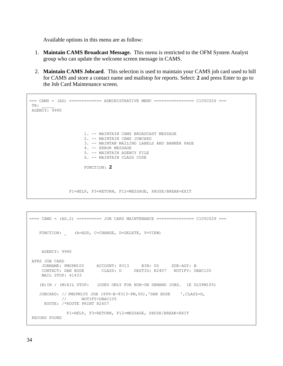Available options in this menu are as follow:

- 1. **Maintain CAMS Broadcast Message.** This menu is restricted to the OFM System Analyst group who can update the welcome screen message in CAMS.
- 2. **Maintain CAMS Jobcard**. This selection is used to maintain your CAMS job card used to bill for CAMS and store a contact name and mailstop for reports. Select: **2** and press Enter to go to the Job Card Maintenance screen.

```
=== CAMS = (AD) ============= ADMINISTRATIVE MENU ================ C105C026 ===
TR: _____
AGENCY: 9990
                       1. -- MAINTAIN CAMS BROADCAST MESSAGE
                       2. -- MAINTAIN CAMS JOBCARD
                       3. -- MAINTAN MAILING LABELS AND BANNER PAGE
                       4. -- ERROR MESSAGE
                       5. -- MAINTAIN AGENCY FILE
                        6. -- MAINTAIN CLASS CODE
                       FUNCTION: 2
                 F1=HELP, F3=RETURN, F12=MESSAGE, PAUSE/BREAK=EXIT
```

```
==== CAMS = (AD.2) ========== JOB CARD MAINTENANCE =============== C105C029 ===
   FUNCTION: (A=ADD, C=CHANGE, D=DELETE, V=VIEW)
     AGENCY: 9990
AFRS JOB CARD
 JOBNAME: PMSPM105 ACCOUNT: 8313 BIN: 00 SUB-AGY: B
 CONTACT: DAN BODE CLASS: D DESTID: R2407 NOTIFY: DBAC105
     MAIL STOP: 41433
    (B)IN / (M)AIL STOP: (USED ONLY FOR NON-ON DEMAND JOBS. IE DLYPM105)
    JOBCARD: // PMSPM105 JOB (999-B-8313-PM,00),'DAN BODE ',CLASS=D,
            // NOTIFY=DBAC105
      ROUTE: /*ROUTE PRINT R2407
              F1=HELP, F3=RETURN, F12=MESSAGE, PAUSE/BREAK=EXIT
RECORD FOUND
```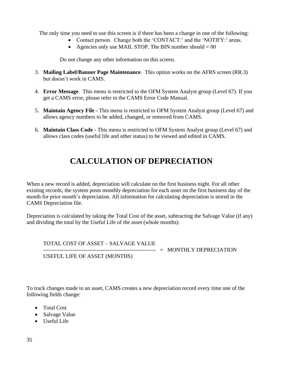The only time you need to use this screen is if there has been a change in one of the following:

- Contact person. Change both the 'CONTACT:' and the 'NOTIFY:' areas.
- Agencies only use MAIL STOP. The BIN number should  $= 00$

Do not change any other information on this screen.

- 3. **Mailing Label/Banner Page Maintenance**. This option works on the AFRS screen (RR.3) but doesn't work in CAMS.
- 4. **Error Message**. This menu is restricted to the OFM System Analyst group (Level 67). If you get a CAMS error, please refer to the CAMS Error Code Manual.
- 5. **Maintain Agency File -** This menu is restricted to OFM System Analyst group (Level 67) and allows agency numbers to be added, changed, or removed from CAMS.
- 6. **Maintain Class Code -** This menu is restricted to OFM System Analyst group (Level 67) and allows class codes (useful life and other status) to be viewed and edited in CAMS.

# **CALCULATION OF DEPRECIATION**

When a new record is added, depreciation will calculate on the first business night. For all other existing records, the system posts monthly depreciation for each asset on the first business day of the month for prior month's depreciation. All information for calculating depreciation is stored in the CAMS Depreciation file.

Depreciation is calculated by taking the Total Cost of the asset, subtracting the Salvage Value (if any) and dividing the total by the Useful Life of the asset (whole months).

TOTAL COST OF ASSET – SALVAGE VALUE ------------------------------------------------------------- = MONTHLY DEPRECIATION USEFUL LIFE OF ASSET (MONTHS)

To track changes made to an asset, CAMS creates a new depreciation record every time one of the following fields change:

- Total Cost
- Salvage Value
- Useful Life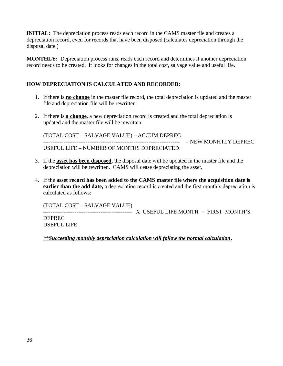**INITIAL:** The depreciation process reads each record in the CAMS master file and creates a depreciation record, even for records that have been disposed (calculates depreciation through the disposal date.)

**MONTHLY:** Depreciation process runs, reads each record and determines if another depreciation record needs to be created. It looks for changes in the total cost, salvage value and useful life.

#### **HOW DEPRECIATION IS CALCULATED AND RECORDED:**

- 1. If there is **no change** in the master file record, the total depreciation is updated and the master file and depreciation file will be rewritten.
- 2. If there is **a change**, a new depreciation record is created and the total depreciation is updated and the master file will be rewritten.

(TOTAL COST – SALVAGE VALUE) – ACCUM DEPREC -------------------------------------------------------------------------- = NEW MONHTLY DEPREC USEFUL LIFE – NUMBER OF MONTHS DEPRECIATED

- 3. If the **asset has been disposed**, the disposal date will be updated in the master file and the depreciation will be rewritten. CAMS will cease depreciating the asset.
- 4. If the **asset record has been added to the CAMS master file where the acquisition date is earlier than the add date,** a depreciation record is created and the first month's depreciation is calculated as follows:

(TOTAL COST – SALVAGE VALUE)

------------------------------------------------ X USEFUL LIFE MONTH = FIRST MONTH'S DEPREC USEFUL LIFE

*\*\*Succeeding monthly depreciation calculation will follow the normal calculation***.**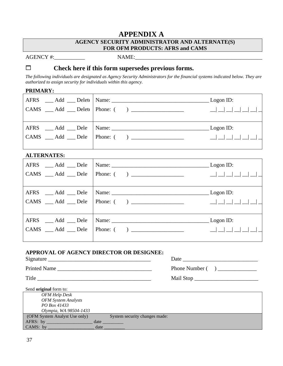#### **APPENDIX A**

#### **AGENCY SECURITY ADMINISTRATOR AND ALTERNATE(S) FOR OFM PRODUCTS: AFRS and CAMS**

AGENCY #: NAME:

**Check here if this form supersedes previous forms.**

The following individuals are designated as Agency Security Administrators for the financial systems indicated below. They are *authorized to assign security for individuals within this agency.*

#### **PRIMARY:**

|                                                                           | $\_\$ Logon ID:           |
|---------------------------------------------------------------------------|---------------------------|
| CAMS ___ Add ___ Delete   Phone: () __________________                    | __  __  __  __  __  __  _ |
|                                                                           |                           |
|                                                                           | $\_\$ Logon ID:           |
| $\mathsf{CAMS}$ $\mathsf{Add}$ $\mathsf{Dele}$ Phone: () $\mathsf{Denom}$ |                           |
|                                                                           |                           |

#### **ALTERNATES:**

|                     | $CAMS$ $Add$ $Dele$ Phone: $($ $)$ $($   |  |
|---------------------|------------------------------------------|--|
| AFRS __ Add __ Dele |                                          |  |
|                     |                                          |  |
|                     |                                          |  |
|                     | $CAMS$ $\_Add$ $\_Dele$   Phone: () $\_$ |  |

#### **APPROVAL OF AGENCY DIRECTOR OR DESIGNEE:**

| Signature           | Date           |
|---------------------|----------------|
| <b>Printed Name</b> | Phone Number ( |
| Title               | Mail Stop      |

| Send original form to:        |      |                               |
|-------------------------------|------|-------------------------------|
| OFM Help Desk                 |      |                               |
| <b>OFM</b> System Analysts    |      |                               |
| PO Box 41433                  |      |                               |
| Olympia, WA 98504-1433        |      |                               |
| (OFM System Analyst Use only) |      | System security changes made: |
| AFRS: by                      | date |                               |
| CAMS: by                      | date |                               |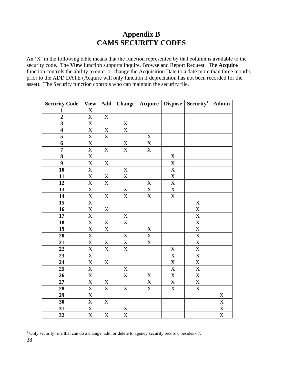### **Appendix B CAMS SECURITY CODES**

An 'X' in the following table means that the function represented by that column is available to the security code. The **View** function supports Inquire, Browse and Report Request. The **Acquire** function controls the ability to enter or change the Acquisition Date to a date more than three months prior to the ADD DATE (Acquire will only function if depreciation has not been recorded for the asset). The Security function controls who can maintain the security file.

| <b>Security Code</b>    | <b>View</b>                         | Add                     |                                      |                       |                           | <b>Change   Acquire   Dispose   Security<sup>1</sup></b> | Admin                       |
|-------------------------|-------------------------------------|-------------------------|--------------------------------------|-----------------------|---------------------------|----------------------------------------------------------|-----------------------------|
| $\mathbf{1}$            | $\mathbf X$                         |                         |                                      |                       |                           |                                                          |                             |
| $\boldsymbol{2}$        | $\mathbf X$                         | $\mathbf X$             |                                      |                       |                           |                                                          |                             |
| $\overline{\mathbf{3}}$ | $\overline{\text{X}}$               |                         | $\frac{\overline{X}}{X}$             |                       |                           |                                                          |                             |
| $\overline{\mathbf{4}}$ | $\overline{\text{X}}$               | $\mathbf X$             |                                      |                       |                           |                                                          |                             |
| $\frac{5}{6}$           | $\overline{\text{X}}$               | $\mathbf X$             |                                      | $\mathbf{X}$          |                           |                                                          |                             |
|                         | $\overline{\text{X}}$               |                         | $\frac{\overline{X}}{\underline{X}}$ | $\mathbf X$           |                           |                                                          |                             |
| $\overline{7}$          | $\frac{\overline{X}}{\overline{X}}$ | $\mathbf X$             |                                      | $\overline{\text{X}}$ |                           |                                                          |                             |
| $\overline{\mathbf{8}}$ |                                     |                         |                                      |                       | $\overline{X}$            |                                                          |                             |
| $\boldsymbol{9}$        | $\overline{\text{X}}$               | $\mathbf X$             |                                      |                       |                           |                                                          |                             |
| 10                      | $\overline{\text{X}}$               |                         | $\overline{X}$                       |                       | $\frac{X}{X}$             |                                                          |                             |
| 11                      | $\overline{X}$                      | $\mathbf X$             | X                                    |                       | $\overline{\mathbf{X}}$   |                                                          |                             |
| 12                      | $\overline{\text{X}}$               | $\mathbf X$             |                                      | X                     | $\overline{X}$            |                                                          |                             |
| 13                      | $\overline{\text{X}}$               |                         | $\mathbf X$                          | $\overline{\text{X}}$ | $\overline{\textbf{X}}$   |                                                          |                             |
| 14                      | $\overline{\textbf{X}}$             | $\mathbf X$             | $\mathbf X$                          | $\overline{\text{X}}$ | $\mathbf X$               |                                                          |                             |
| 15                      | $\overline{\mathbf{X}}$             |                         |                                      |                       |                           | $\overline{X}$                                           |                             |
| 16                      | $\overline{\textbf{X}}$             | $\mathbf X$             |                                      |                       |                           | $\mathbf X$                                              |                             |
| 17                      | $\overline{\mathbf{X}}$             |                         | $\mathbf X$                          |                       |                           | $\overline{\textbf{X}}$                                  |                             |
| 18                      | $\overline{\text{X}}$               | $\mathbf X$             | $\overline{\text{X}}$                |                       |                           | $\overline{\textbf{X}}$                                  |                             |
| 19                      | $\overline{\textbf{X}}$             | $\overline{\textbf{X}}$ |                                      | $\mathbf X$           |                           | $\overline{\textbf{X}}$                                  |                             |
| 20                      | $\overline{\mathbf{X}}$             |                         | $\mathbf X$                          | $\mathbf{X}$          |                           | $\overline{\textbf{X}}$                                  |                             |
| 21                      | $\overline{\textbf{X}}$             | $\mathbf X$             | $\overline{\textbf{X}}$              | $\overline{\text{X}}$ |                           | $\overline{\textbf{X}}$                                  |                             |
| 22                      | $\overline{\text{X}}$               | $\mathbf X$             | $\overline{\text{X}}$                |                       | $\mathbf X$               | $\overline{\text{X}}$                                    |                             |
| $\overline{23}$         | $\overline{\mathbf{X}}$             |                         |                                      |                       | $\overline{X}$            | $\overline{\text{X}}$                                    |                             |
| 24                      | X                                   | $\mathbf X$             |                                      |                       | $\mathbf X$               | $\mathbf X$                                              |                             |
| 25                      | X                                   |                         | $\mathbf X$                          |                       | $\mathbf X$               | $\mathbf X$                                              |                             |
| 26                      | $\overline{\text{X}}$               |                         | $\mathbf X$                          | $\mathbf X$           | $\overline{\text{X}}$     | $\overline{\text{X}}$                                    |                             |
| 27                      | $\overline{\text{X}}$               | $\mathbf X$             |                                      | $\mathbf X$           | $\mathbf X$               | $\mathbf X$                                              |                             |
| 28                      | $\overline{\text{X}}$               | $\mathbf X$             | $\mathbf X$                          | X                     | $\boldsymbol{\mathrm{X}}$ | $\overline{X}$                                           |                             |
| 29                      | $\mathbf X$                         |                         |                                      |                       |                           |                                                          | $\mathbf X$                 |
| 30                      | $\overline{X}$                      | X                       |                                      |                       |                           |                                                          | $\frac{\text{X}}{\text{X}}$ |
| 31                      | $\overline{\text{X}}$               |                         | $\overline{X}$                       |                       |                           |                                                          |                             |
| 32                      | $\overline{\text{X}}$               | $\mathbf X$             | $\overline{\text{X}}$                |                       |                           |                                                          | $\overline{\mathbf{X}}$     |

<sup>&</sup>lt;sup>1</sup> Only security role that can do a change, add, or delete to agency security records, besides 67.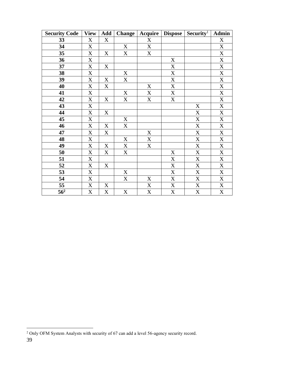| <b>Security Code</b> | <b>View</b>               | Add | <b>Change</b> | Acquire                   | <b>Dispose</b>            | Security <sup>1</sup>     | Admin                     |
|----------------------|---------------------------|-----|---------------|---------------------------|---------------------------|---------------------------|---------------------------|
| 33                   | $\boldsymbol{X}$          | X   |               | $\mathbf X$               |                           |                           | $\mathbf X$               |
| 34                   | $\mathbf X$               |     | X             | $\mathbf X$               |                           |                           | $\boldsymbol{\mathrm{X}}$ |
| 35                   | $\boldsymbol{\mathrm{X}}$ | X   | X             | $\mathbf X$               |                           |                           | $\mathbf X$               |
| 36                   | $\mathbf X$               |     |               |                           | $\mathbf X$               |                           | $\mathbf X$               |
| 37                   | $\mathbf X$               | X   |               |                           | X                         |                           | $\mathbf X$               |
| 38                   | $\mathbf X$               |     | X             |                           | X                         |                           | $\mathbf X$               |
| 39                   | $\mathbf X$               | X   | X             |                           | $\boldsymbol{\mathrm{X}}$ |                           | $\mathbf X$               |
| 40                   | $\boldsymbol{\mathrm{X}}$ | X   |               | X                         | $\mathbf X$               |                           | $\mathbf X$               |
| 41                   | X                         |     | X             | $\boldsymbol{\mathrm{X}}$ | X                         |                           | $\boldsymbol{\mathrm{X}}$ |
| 42                   | $\boldsymbol{\mathrm{X}}$ | X   | $\mathbf X$   | $\mathbf X$               | $\mathbf X$               |                           | $\mathbf X$               |
| 43                   | X                         |     |               |                           |                           | X                         | $\boldsymbol{\mathrm{X}}$ |
| 44                   | $\mathbf X$               | X   |               |                           |                           | $\mathbf X$               | $\mathbf X$               |
| 45                   | X                         |     | X             |                           |                           | X                         | X                         |
| 46                   | X                         | X   | X             |                           |                           | $\mathbf X$               | $\mathbf X$               |
| 47                   | X                         | X   |               | X                         |                           | $\boldsymbol{\mathrm{X}}$ | X                         |
| 48                   | $\mathbf X$               |     | $\mathbf X$   | $\mathbf X$               |                           | $\mathbf X$               | $\mathbf X$               |
| 49                   | X                         | X   | X             | X                         |                           | $\mathbf X$               | X                         |
| 50                   | $\mathbf X$               | X   | $\mathbf X$   |                           | $\mathbf X$               | $\mathbf X$               | $\mathbf X$               |
| 51                   | X                         |     |               |                           | X                         | $\boldsymbol{\mathrm{X}}$ | X                         |
| 52                   | $\mathbf X$               | X   |               |                           | $\boldsymbol{\mathrm{X}}$ | $\mathbf X$               | $\mathbf X$               |
| 53                   | X                         |     | X             |                           | X                         | X                         | X                         |
| 54                   | $\mathbf X$               |     | $\mathbf X$   | X                         | $\boldsymbol{\mathrm{X}}$ | $\mathbf X$               | $\mathbf X$               |
| 55                   | $\mathbf X$               | X   |               | $\mathbf X$               | X                         | X                         | X                         |
| $\overline{56^2}$    | $\mathbf X$               | X   | $\mathbf X$   | X                         | $\boldsymbol{\mathrm{X}}$ | X                         | $\mathbf X$               |

Only OFM System Analysts with security of 67 can add a level 56-agency security record.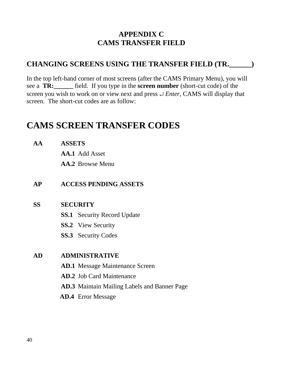### **APPENDIX C CAMS TRANSFER FIELD**

#### **CHANGING SCREENS USING THE TRANSFER FIELD (TR.\_\_\_\_\_\_)**

In the top left-hand corner of most screens (after the CAMS Primary Menu), you will see a **TR:\_\_\_\_\_\_** field. If you type in the **screen number** (short-cut code) of the screen you wish to work on or view next and press *Enter*, CAMS will display that screen. The short-cut codes are as follow:

# **CAMS SCREEN TRANSFER CODES**

**AA ASSETS**

**AA.1** Add Asset

**AA.2** Browse Menu

#### **AP ACCESS PENDING ASSETS**

#### **SS SECURITY**

- **SS.1** Security Record Update
- **SS.2** View Security
- **SS.3** Security Codes

#### **AD ADMINISTRATIVE**

- **AD.1** Message Maintenance Screen
- **AD.2** Job Card Maintenance
- **AD.3** Maintain Mailing Labels and Banner Page
- **AD.4** Error Message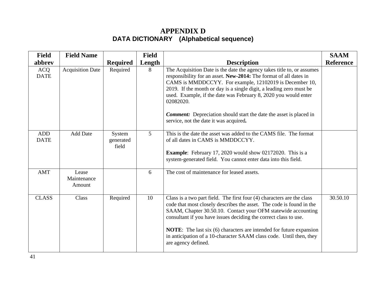## **APPENDIX D DATA DICTIONARY (Alphabetical sequence)**

| <b>Field</b>              | <b>Field Name</b>              |                              | <b>Field</b> |                                                                                                                                                                                                                                                                                                                                                                                                                                                                                      | <b>SAAM</b>      |
|---------------------------|--------------------------------|------------------------------|--------------|--------------------------------------------------------------------------------------------------------------------------------------------------------------------------------------------------------------------------------------------------------------------------------------------------------------------------------------------------------------------------------------------------------------------------------------------------------------------------------------|------------------|
| abbrev                    |                                | <b>Required</b>              | Length       | <b>Description</b>                                                                                                                                                                                                                                                                                                                                                                                                                                                                   | <b>Reference</b> |
| <b>ACQ</b><br><b>DATE</b> | <b>Acquisition Date</b>        | Required                     | 8            | The Acquisition Date is the date the agency takes title to, or assumes<br>responsibility for an asset. New-2014: The format of all dates in<br>CAMS is MMDDCCYY. For example, 12102019 is December 10,<br>2019. If the month or day is a single digit, a leading zero must be<br>used. Example, if the date was February 8, 2020 you would enter<br>02082020.<br><b>Comment:</b> Depreciation should start the date the asset is placed in<br>service, not the date it was acquired. |                  |
| <b>ADD</b><br><b>DATE</b> | <b>Add Date</b>                | System<br>generated<br>field | 5            | This is the date the asset was added to the CAMS file. The format<br>of all dates in CAMS is MMDDCCYY.<br><b>Example:</b> February 17, 2020 would show 02172020. This is a<br>system-generated field. You cannot enter data into this field.                                                                                                                                                                                                                                         |                  |
| <b>AMT</b>                | Lease<br>Maintenance<br>Amount |                              | 6            | The cost of maintenance for leased assets.                                                                                                                                                                                                                                                                                                                                                                                                                                           |                  |
| <b>CLASS</b>              | Class                          | Required                     | 10           | Class is a two part field. The first four (4) characters are the class<br>code that most closely describes the asset. The code is found in the<br>SAAM, Chapter 30.50.10. Contact your OFM statewide accounting<br>consultant if you have issues deciding the correct class to use.<br><b>NOTE:</b> The last six (6) characters are intended for future expansion<br>in anticipation of a 10-character SAAM class code. Until then, they<br>are agency defined.                      | 30.50.10         |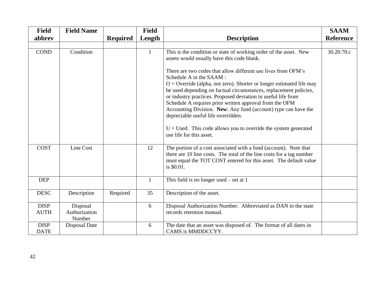| <b>Field</b>               | <b>Field Name</b>                   |                 | <b>Field</b> |                                                                                                                                                                                                                                                                                                                                                                                                                                                                                                                                                                                                                                                                                                  | <b>SAAM</b>      |
|----------------------------|-------------------------------------|-----------------|--------------|--------------------------------------------------------------------------------------------------------------------------------------------------------------------------------------------------------------------------------------------------------------------------------------------------------------------------------------------------------------------------------------------------------------------------------------------------------------------------------------------------------------------------------------------------------------------------------------------------------------------------------------------------------------------------------------------------|------------------|
| abbrev                     |                                     | <b>Required</b> | Length       | <b>Description</b>                                                                                                                                                                                                                                                                                                                                                                                                                                                                                                                                                                                                                                                                               | <b>Reference</b> |
|                            |                                     |                 |              |                                                                                                                                                                                                                                                                                                                                                                                                                                                                                                                                                                                                                                                                                                  |                  |
| <b>COND</b>                | Condition                           |                 | $\mathbf{1}$ | This is the condition or state of working order of the asset. New<br>assets would usually have this code blank.<br>There are two codes that allow different use lives from OFM's<br>Schedule A in the SAAM:<br>$O =$ Override (alpha, not zero). Shorter or longer estimated life may<br>be used depending on factual circumstances, replacement policies,<br>or industry practices. Proposed deviation in useful life from<br>Schedule A requires prior written approval from the OFM<br>Accounting Division. New: Any fund (account) type can have the<br>depreciable useful life overridden.<br>$U =$ Used. This code allows you to override the system generated<br>use life for this asset. | 30.20.70.c       |
| <b>COST</b>                | Line Cost                           |                 | 12           | The portion of a cost associated with a fund (account). Note that<br>there are 10 line costs. The total of the line costs for a tag number<br>must equal the TOT COST entered for this asset. The default value<br>is \$0.01.                                                                                                                                                                                                                                                                                                                                                                                                                                                                    |                  |
| <b>DEP</b>                 |                                     |                 | $\mathbf{1}$ | This field is no longer used $-$ set at 1                                                                                                                                                                                                                                                                                                                                                                                                                                                                                                                                                                                                                                                        |                  |
| <b>DESC</b>                | Description                         | Required        | 35           | Description of the asset.                                                                                                                                                                                                                                                                                                                                                                                                                                                                                                                                                                                                                                                                        |                  |
| <b>DISP</b><br><b>AUTH</b> | Disposal<br>Authorization<br>Number |                 | 6            | Disposal Authorization Number. Abbreviated as DAN in the state<br>records retention manual.                                                                                                                                                                                                                                                                                                                                                                                                                                                                                                                                                                                                      |                  |
| <b>DISP</b><br><b>DATE</b> | Disposal Date                       |                 | 6            | The date that an asset was disposed of. The format of all dates in<br>CAMS is MMDDCCYY.                                                                                                                                                                                                                                                                                                                                                                                                                                                                                                                                                                                                          |                  |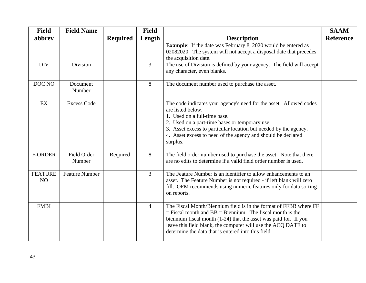| <b>Field</b>         | <b>Field Name</b>            |                 | <b>Field</b>   |                                                                                                                                                                                                                                                                                                                                  | <b>SAAM</b>      |
|----------------------|------------------------------|-----------------|----------------|----------------------------------------------------------------------------------------------------------------------------------------------------------------------------------------------------------------------------------------------------------------------------------------------------------------------------------|------------------|
| abbrev               |                              | <b>Required</b> | Length         | <b>Description</b>                                                                                                                                                                                                                                                                                                               | <b>Reference</b> |
|                      |                              |                 |                | <b>Example:</b> If the date was February 8, 2020 would be entered as<br>02082020. The system will not accept a disposal date that precedes<br>the acquisition date.                                                                                                                                                              |                  |
| <b>DIV</b>           | Division                     |                 | $\overline{3}$ | The use of Division is defined by your agency. The field will accept<br>any character, even blanks.                                                                                                                                                                                                                              |                  |
| DOC NO               | Document<br>Number           |                 | 8              | The document number used to purchase the asset.                                                                                                                                                                                                                                                                                  |                  |
| EX                   | <b>Excess Code</b>           |                 | $\mathbf{1}$   | The code indicates your agency's need for the asset. Allowed codes<br>are listed below.<br>1. Used on a full-time base.<br>2. Used on a part-time bases or temporary use.<br>3. Asset excess to particular location but needed by the agency.<br>4. Asset excess to need of the agency and should be declared<br>surplus.        |                  |
| <b>F-ORDER</b>       | <b>Field Order</b><br>Number | Required        | 8              | The field order number used to purchase the asset. Note that there<br>are no edits to determine if a valid field order number is used.                                                                                                                                                                                           |                  |
| <b>FEATURE</b><br>NO | <b>Feature Number</b>        |                 | $\overline{3}$ | The Feature Number is an identifier to allow enhancements to an<br>asset. The Feature Number is not required - if left blank will zero<br>fill. OFM recommends using numeric features only for data sorting<br>on reports.                                                                                                       |                  |
| <b>FMBI</b>          |                              |                 | $\overline{4}$ | The Fiscal Month/Biennium field is in the format of FFBB where FF<br>$=$ Fiscal month and BB $=$ Biennium. The fiscal month is the<br>biennium fiscal month $(1-24)$ that the asset was paid for. If you<br>leave this field blank, the computer will use the ACQ DATE to<br>determine the data that is entered into this field. |                  |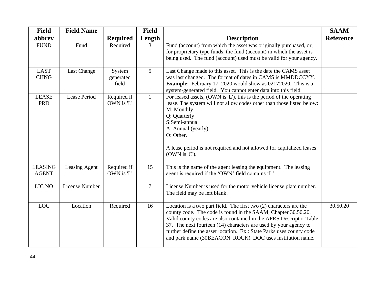| <b>Field</b>                   | <b>Field Name</b> |                              | <b>Field</b>   |                                                                                                                                                                                                                                                                                                                                                                                                                    | <b>SAAM</b>      |
|--------------------------------|-------------------|------------------------------|----------------|--------------------------------------------------------------------------------------------------------------------------------------------------------------------------------------------------------------------------------------------------------------------------------------------------------------------------------------------------------------------------------------------------------------------|------------------|
| abbrev                         |                   | <b>Required</b>              | Length         | <b>Description</b>                                                                                                                                                                                                                                                                                                                                                                                                 | <b>Reference</b> |
| <b>FUND</b>                    | Fund              | Required                     | $\overline{3}$ | Fund (account) from which the asset was originally purchased, or,<br>for proprietary type funds, the fund (account) in which the asset is<br>being used. The fund (account) used must be valid for your agency.                                                                                                                                                                                                    |                  |
| <b>LAST</b><br><b>CHNG</b>     | Last Change       | System<br>generated<br>field | 5 <sup>1</sup> | Last Change made to this asset. This is the date the CAMS asset<br>was last changed. The format of dates in CAMS is MMDDCCYY.<br><b>Example:</b> February 17, 2020 would show as 02172020. This is a<br>system-generated field. You cannot enter data into this field.                                                                                                                                             |                  |
| <b>LEASE</b><br><b>PRD</b>     | Lease Period      | Required if<br>OWN is 'L'    | $\mathbf{1}$   | For leased assets, (OWN is 'L'), this is the period of the operating<br>lease. The system will not allow codes other than those listed below:<br>M: Monthly<br>Q: Quarterly<br>S:Semi-annual<br>A: Annual (yearly)<br>O: Other.<br>A lease period is not required and not allowed for capitalized leases<br>(OWN is 'C').                                                                                          |                  |
| <b>LEASING</b><br><b>AGENT</b> | Leasing Agent     | Required if<br>OWN is 'L'    | 15             | This is the name of the agent leasing the equipment. The leasing<br>agent is required if the 'OWN' field contains 'L'.                                                                                                                                                                                                                                                                                             |                  |
| LIC NO                         | License Number    |                              | $\overline{7}$ | License Number is used for the motor vehicle license plate number.<br>The field may be left blank.                                                                                                                                                                                                                                                                                                                 |                  |
| <b>LOC</b>                     | Location          | Required                     | 16             | Location is a two part field. The first two (2) characters are the<br>county code. The code is found in the SAAM, Chapter 30.50.20.<br>Valid county codes are also contained in the AFRS Descriptor Table<br>37. The next fourteen (14) characters are used by your agency to<br>further define the asset location. Ex.: State Parks uses county code<br>and park name (30BEACON_ROCK). DOC uses institution name. | 30.50.20         |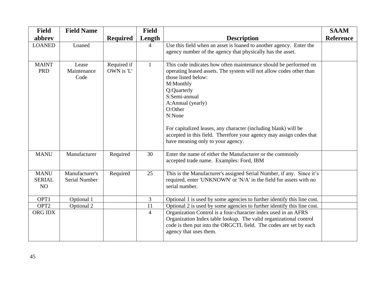| <b>Field</b>                       | <b>Field Name</b>                      |                           | <b>Field</b>   |                                                                                                                                                                                                                                                                                                                                                                                                                                      | <b>SAAM</b>      |
|------------------------------------|----------------------------------------|---------------------------|----------------|--------------------------------------------------------------------------------------------------------------------------------------------------------------------------------------------------------------------------------------------------------------------------------------------------------------------------------------------------------------------------------------------------------------------------------------|------------------|
| abbrev                             |                                        | <b>Required</b>           | Length         | <b>Description</b>                                                                                                                                                                                                                                                                                                                                                                                                                   | <b>Reference</b> |
| <b>LOANED</b>                      | Loaned                                 |                           | $\overline{4}$ | Use this field when an asset is loaned to another agency. Enter the<br>agency number of the agency that physically has the asset.                                                                                                                                                                                                                                                                                                    |                  |
| <b>MAINT</b><br><b>PRD</b>         | Lease<br>Maintenance<br>Code           | Required if<br>OWN is 'L' | $\mathbf{1}$   | This code indicates how often maintenance should be performed on<br>operating leased assets. The system will not allow codes other than<br>those listed below:<br>M:Monthly<br>Q:Quarterly<br>S:Semi-annual<br>A:Annual (yearly)<br>O:Other<br>N:None<br>For capitalized leases, any character (including blank) will be<br>accepted in this field. Therefore your agency may assign codes that<br>have meaning only to your agency. |                  |
| <b>MANU</b>                        | Manufacturer                           | Required                  | 30             | Enter the name of either the Manufacturer or the commonly<br>accepted trade name. Examples: Ford, IBM                                                                                                                                                                                                                                                                                                                                |                  |
| <b>MANU</b><br><b>SERIAL</b><br>NO | Manufacturer's<br><b>Serial Number</b> | Required                  | 25             | This is the Manufacturer's assigned Serial Number, if any. Since it's<br>required, enter 'UNKNOWN' or 'N/A' in the field for assets with no<br>serial number.                                                                                                                                                                                                                                                                        |                  |
| OPT1                               | Optional 1                             |                           | $\overline{3}$ | Optional 1 is used by some agencies to further identify this line cost.                                                                                                                                                                                                                                                                                                                                                              |                  |
| OPT <sub>2</sub>                   | Optional 2                             |                           | 11             | Optional 2 is used by some agencies to further identify this line cost.                                                                                                                                                                                                                                                                                                                                                              |                  |
| ORG IDX                            |                                        |                           | $\overline{4}$ | Organization Control is a four-character index used in an AFRS<br>Organization Index table lookup. The valid organizational control<br>code is then put into the ORGCTL field. The codes are set by each<br>agency that uses them.                                                                                                                                                                                                   |                  |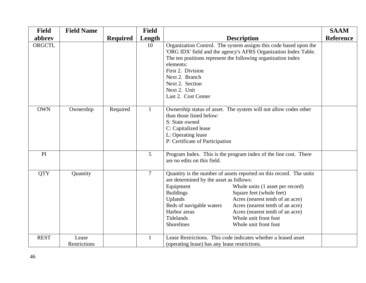| <b>Field</b> | <b>Field Name</b>            |                 | <b>Field</b>   |                                                                                                                                                                                                                                                                                                                                                                                                                                                                 | <b>SAAM</b>      |
|--------------|------------------------------|-----------------|----------------|-----------------------------------------------------------------------------------------------------------------------------------------------------------------------------------------------------------------------------------------------------------------------------------------------------------------------------------------------------------------------------------------------------------------------------------------------------------------|------------------|
| abbrev       |                              | <b>Required</b> | Length         | <b>Description</b>                                                                                                                                                                                                                                                                                                                                                                                                                                              | <b>Reference</b> |
| ORGCTL       |                              |                 | 10             | Organization Control. The system assigns this code based upon the<br>'ORG IDX' field and the agency's AFRS Organization Index Table.<br>The ten positions represent the following organization index<br>elements:<br>First 2. Division<br>Next 2. Branch<br>Next 2. Section<br>Next 2. Unit<br>Last 2. Cost Center                                                                                                                                              |                  |
| <b>OWN</b>   | Ownership                    | Required        | 1              | Ownership status of asset. The system will not allow codes other<br>than those listed below:<br>S: State owned<br>C: Capitalized lease<br>L: Operating lease<br>P: Certificate of Participation                                                                                                                                                                                                                                                                 |                  |
| PI           |                              |                 | 5              | Program Index. This is the program index of the line cost. There<br>are no edits on this field.                                                                                                                                                                                                                                                                                                                                                                 |                  |
| <b>QTY</b>   | Quantity                     |                 | $\overline{7}$ | Quantity is the number of assets reported on this record. The units<br>are determined by the asset as follows:<br>Equipment<br>Whole units (1 asset per record)<br>Square feet (whole feet)<br><b>Buildings</b><br>Acres (nearest tenth of an acre)<br>Uplands<br>Beds of navigable waters<br>Acres (nearest tenth of an acre)<br>Harbor areas<br>Acres (nearest tenth of an acre)<br>Tidelands<br>Whole unit front foot<br>Shorelines<br>Whole unit front foot |                  |
| <b>REST</b>  | Lease<br><b>Restrictions</b> |                 | 1              | Lease Restrictions. This code indicates whether a leased asset<br>(operating lease) has any lease restrictions.                                                                                                                                                                                                                                                                                                                                                 |                  |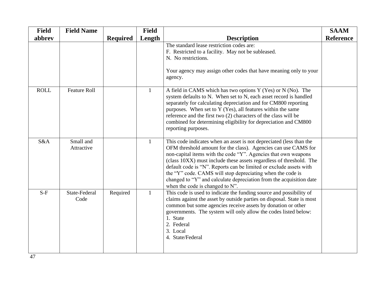| <b>Field</b> | <b>Field Name</b>       |                 | <b>Field</b> |                                                                                                                                                                                                                                                                                                                                                                                                                                                                                                                              | <b>SAAM</b>      |
|--------------|-------------------------|-----------------|--------------|------------------------------------------------------------------------------------------------------------------------------------------------------------------------------------------------------------------------------------------------------------------------------------------------------------------------------------------------------------------------------------------------------------------------------------------------------------------------------------------------------------------------------|------------------|
| abbrev       |                         | <b>Required</b> | Length       | <b>Description</b>                                                                                                                                                                                                                                                                                                                                                                                                                                                                                                           | <b>Reference</b> |
|              |                         |                 |              | The standard lease restriction codes are:<br>F. Restricted to a facility. May not be subleased.<br>N. No restrictions.<br>Your agency may assign other codes that have meaning only to your<br>agency.                                                                                                                                                                                                                                                                                                                       |                  |
| <b>ROLL</b>  | <b>Feature Roll</b>     |                 |              | A field in CAMS which has two options Y (Yes) or N (No). The<br>system defaults to N. When set to N, each asset record is handled<br>separately for calculating depreciation and for CM800 reporting<br>purposes. When set to Y (Yes), all features within the same<br>reference and the first two (2) characters of the class will be<br>combined for determining eligibility for depreciation and CM800<br>reporting purposes.                                                                                             |                  |
| S&A          | Small and<br>Attractive |                 | $\mathbf{1}$ | This code indicates when an asset is not depreciated (less than the<br>OFM threshold amount for the class). Agencies can use CAMS for<br>non-capital items with the code "Y". Agencies that own weapons<br>(class 10XX) must include these assets regardless of threshold. The<br>default code is "N". Reports can be limited or exclude assets with<br>the "Y" code. CAMS will stop depreciating when the code is<br>changed to "Y" and calculate depreciation from the acquisition date<br>when the code is changed to N". |                  |
| $S-F$        | State-Federal<br>Code   | Required        | $\mathbf{1}$ | This code is used to indicate the funding source and possibility of<br>claims against the asset by outside parties on disposal. State is most<br>common but some agencies receive assets by donation or other<br>governments. The system will only allow the codes listed below:<br>1. State<br>2. Federal<br>3. Local<br>4. State/Federal                                                                                                                                                                                   |                  |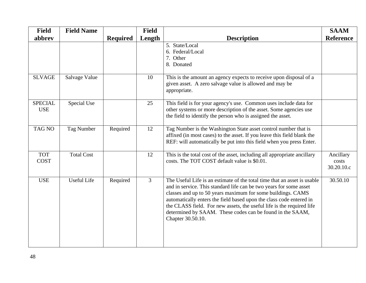| <b>Field</b>                 | <b>Field Name</b> |                 | <b>Field</b>   |                                                                                                                                                                                                                                                                                                                                                                                                                                                 | <b>SAAM</b>                      |
|------------------------------|-------------------|-----------------|----------------|-------------------------------------------------------------------------------------------------------------------------------------------------------------------------------------------------------------------------------------------------------------------------------------------------------------------------------------------------------------------------------------------------------------------------------------------------|----------------------------------|
| abbrev                       |                   | <b>Required</b> | Length         | <b>Description</b>                                                                                                                                                                                                                                                                                                                                                                                                                              | <b>Reference</b>                 |
|                              |                   |                 |                | 5. State/Local<br>6. Federal/Local<br>7. Other<br>8. Donated                                                                                                                                                                                                                                                                                                                                                                                    |                                  |
| <b>SLVAGE</b>                | Salvage Value     |                 | 10             | This is the amount an agency expects to receive upon disposal of a<br>given asset. A zero salvage value is allowed and may be<br>appropriate.                                                                                                                                                                                                                                                                                                   |                                  |
| <b>SPECIAL</b><br><b>USE</b> | Special Use       |                 | 25             | This field is for your agency's use. Common uses include data for<br>other systems or more description of the asset. Some agencies use<br>the field to identify the person who is assigned the asset.                                                                                                                                                                                                                                           |                                  |
| <b>TAG NO</b>                | Tag Number        | Required        | 12             | Tag Number is the Washington State asset control number that is<br>affixed (in most cases) to the asset. If you leave this field blank the<br>REF: will automatically be put into this field when you press Enter.                                                                                                                                                                                                                              |                                  |
| <b>TOT</b><br><b>COST</b>    | <b>Total Cost</b> |                 | 12             | This is the total cost of the asset, including all appropriate ancillary<br>costs. The TOT COST default value is \$0.01.                                                                                                                                                                                                                                                                                                                        | Ancillary<br>costs<br>30.20.10.c |
| <b>USE</b>                   | Useful Life       | Required        | $\mathfrak{Z}$ | The Useful Life is an estimate of the total time that an asset is usable<br>and in service. This standard life can be two years for some asset<br>classes and up to 50 years maximum for some buildings. CAMS<br>automatically enters the field based upon the class code entered in<br>the CLASS field. For new assets, the useful life is the required life<br>determined by SAAM. These codes can be found in the SAAM,<br>Chapter 30.50.10. | 30.50.10                         |